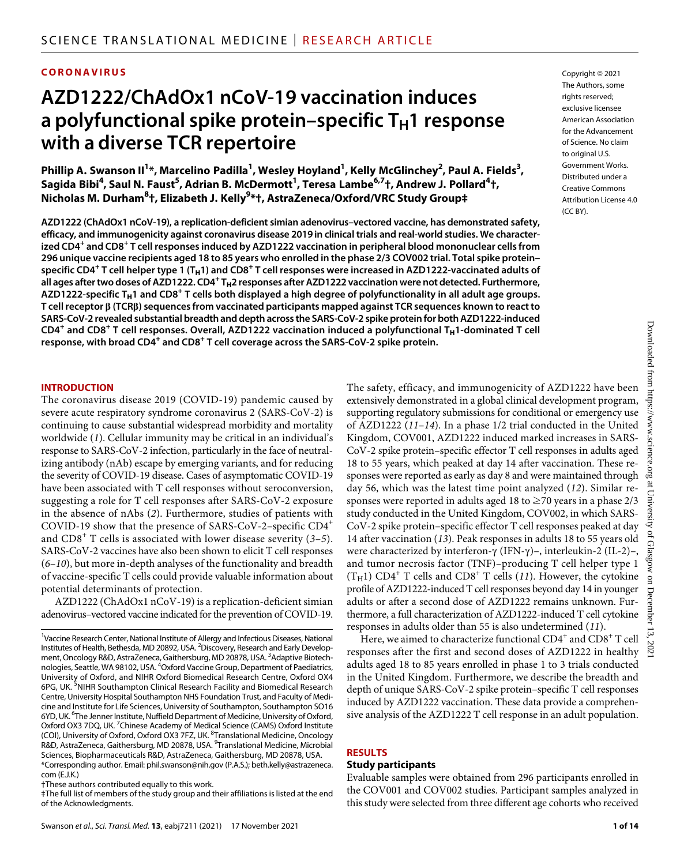#### **CORONAVIRUS**

# **AZD1222/ChAdOx1 nCoV-19 vaccination induces**  a polyfunctional spike protein–specific T<sub>H</sub>1 response **with a diverse TCR repertoire**

Phillip A. Swanson II<sup>1</sup>\*, Marcelino Padilla<sup>1</sup>, Wesley Hoyland<sup>1</sup>, Kelly McGlinchey<sup>2</sup>, Paul A. Fields<sup>3</sup>,  $\sim$  Sagida Bibi $^4$ , Saul N. Faust $^5$ , Adrian B. McDermott $^1$ , Teresa Lambe $^{6,7}$ †, Andrew J. Pollard $^4$ †, **Nicholas M. Durham<sup>8</sup> †, Elizabeth J. Kelly9 \*†, AstraZeneca/Oxford/VRC Study Group‡**

**AZD1222 (ChAdOx1 nCoV-19), a replication-deficient simian adenovirus–vectored vaccine, has demonstrated safety, efficacy, and immunogenicity against coronavirus disease 2019 in clinical trials and real-world studies. We characterized CD4<sup>+</sup> and CD8<sup>+</sup> T cell responses induced by AZD1222 vaccination in peripheral blood mononuclear cells from 296 unique vaccine recipients aged 18 to 85 years who enrolled in the phase 2/3 COV002 trial. Total spike protein– specific CD4<sup>+</sup> T cell helper type 1 (TH1) and CD8<sup>+</sup> T cell responses were increased in AZD1222-vaccinated adults of all ages after two doses of AZD1222. CD4<sup>+</sup> TH2 responses after AZD1222 vaccination were not detected. Furthermore, AZD1222-specific TH1 and CD8<sup>+</sup> T cells both displayed a high degree of polyfunctionality in all adult age groups. T cell receptor (TCR) sequences from vaccinated participants mapped against TCR sequences known to react to SARS-CoV-2 revealed substantial breadth and depth across the SARS-CoV-2 spike protein for both AZD1222-induced CD4<sup>+</sup> and CD8<sup>+</sup> T cell responses. Overall, AZD1222 vaccination induced a polyfunctional TH1-dominated T cell response, with broad CD4<sup>+</sup> and CD8<sup>+</sup> T cell coverage across the SARS-CoV-2 spike protein.**

#### **INTRODUCTION**

The coronavirus disease 2019 (COVID-19) pandemic caused by severe acute respiratory syndrome coronavirus 2 (SARS-CoV-2) is continuing to cause substantial widespread morbidity and mortality worldwide (*1*). Cellular immunity may be critical in an individual's response to SARS-CoV-2 infection, particularly in the face of neutralizing antibody (nAb) escape by emerging variants, and for reducing the severity of COVID-19 disease. Cases of asymptomatic COVID-19 have been associated with T cell responses without seroconversion, suggesting a role for T cell responses after SARS-CoV-2 exposure in the absence of nAbs (*2*). Furthermore, studies of patients with COVID-19 show that the presence of SARS-CoV-2–specific CD4+ and CD8<sup>+</sup> T cells is associated with lower disease severity (*3*–*5*). SARS-CoV-2 vaccines have also been shown to elicit T cell responses (*6*–*10*), but more in-depth analyses of the functionality and breadth of vaccine-specific T cells could provide valuable information about potential determinants of protection.

AZD1222 (ChAdOx1 nCoV-19) is a replication-deficient simian adenovirus–vectored vaccine indicated for the prevention of COVID-19.

202

The safety, efficacy, and immunogenicity of AZD1222 have been extensively demonstrated in a global clinical development program, supporting regulatory submissions for conditional or emergency use of AZD1222 (*11*–*14*). In a phase 1/2 trial conducted in the United Kingdom, COV001, AZD1222 induced marked increases in SARS-CoV-2 spike protein–specific effector T cell responses in adults aged 18 to 55 years, which peaked at day 14 after vaccination. These responses were reported as early as day 8 and were maintained through day 56, which was the latest time point analyzed (*12*). Similar responses were reported in adults aged 18 to  $\geq$ 70 years in a phase 2/3 study conducted in the United Kingdom, COV002, in which SARS-CoV-2 spike protein–specific effector T cell responses peaked at day 14 after vaccination (*13*). Peak responses in adults 18 to 55 years old were characterized by interferon- $\gamma$  (IFN- $\gamma$ )-, interleukin-2 (IL-2)-, and tumor necrosis factor (TNF)–producing T cell helper type 1  $(T_H1)$  CD4<sup>+</sup> T cells and CD8<sup>+</sup> T cells (11). However, the cytokine profile of AZD1222-induced T cell responses beyond day 14 in younger adults or after a second dose of AZD1222 remains unknown. Furthermore, a full characterization of AZD1222-induced T cell cytokine responses in adults older than 55 is also undetermined (*11*).

Here, we aimed to characterize functional  $\text{CD4}^+$  and  $\text{CD8}^+$  T cell responses after the first and second doses of AZD1222 in healthy adults aged 18 to 85 years enrolled in phase 1 to 3 trials conducted in the United Kingdom. Furthermore, we describe the breadth and depth of unique SARS-CoV-2 spike protein–specific T cell responses induced by AZD1222 vaccination. These data provide a comprehensive analysis of the AZD1222 T cell response in an adult population.

#### **RESULTS**

#### **Study participants**

Evaluable samples were obtained from 296 participants enrolled in the COV001 and COV002 studies. Participant samples analyzed in this study were selected from three different age cohorts who received

<sup>&</sup>lt;sup>1</sup>Vaccine Research Center, National Institute of Allergy and Infectious Diseases, National Institutes of Health, Bethesda, MD 20892, USA. <sup>2</sup>Discovery, Research and Early Development, Oncology R&D, AstraZeneca, Gaithersburg, MD 20878, USA. <sup>3</sup>Adaptive Biotechnologies, Seattle, WA 98102, USA. <sup>4</sup>Oxford Vaccine Group, Department of Paediatrics, University of Oxford, and NIHR Oxford Biomedical Research Centre, Oxford OX4 6PG, UK. <sup>5</sup>NIHR Southampton Clinical Research Facility and Biomedical Research Centre, University Hospital Southampton NHS Foundation Trust, and Faculty of Medicine and Institute for Life Sciences, University of Southampton, Southampton SO16 6YD, UK. <sup>6</sup>The Jenner Institute, Nuffield Department of Medicine, University of Oxford, Oxford OX3 7DQ, UK.<sup>7</sup> Chinese Academy of Medical Science (CAMS) Oxford Institute (COI), University of Oxford, Oxford OX3 7FZ, UK. <sup>8</sup> Translational Medicine, Oncology R&D, AstraZeneca, Gaithersburg, MD 20878, USA. <sup>9</sup>Translational Medicine, Microbial Sciences, Biopharmaceuticals R&D, AstraZeneca, Gaithersburg, MD 20878, USA. \*Corresponding author. Email: [phil.swanson@nih.gov](mailto:phil.swanson@nih.gov) (P.A.S.); [beth.kelly@astrazeneca.](mailto:beth.kelly@astrazeneca.com) [com](mailto:beth.kelly@astrazeneca.com) (E.J.K.)

<sup>†</sup>These authors contributed equally to this work.

<sup>‡</sup>The full list of members of the study group and their affiliations is listed at the end of the Acknowledgments.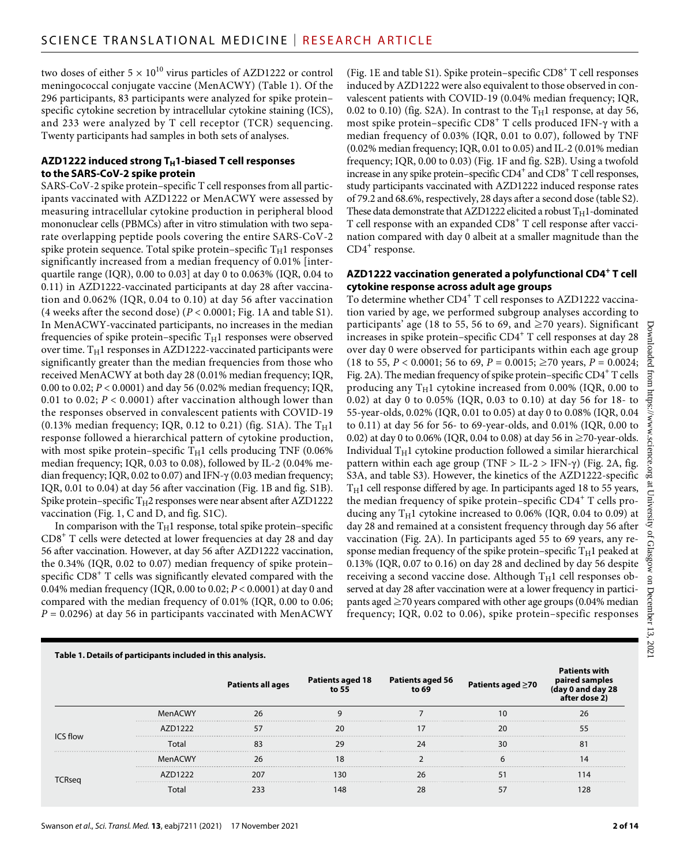two doses of either  $5 \times 10^{10}$  virus particles of AZD1222 or control meningococcal conjugate vaccine (MenACWY) (Table 1). Of the 296 participants, 83 participants were analyzed for spike protein– specific cytokine secretion by intracellular cytokine staining (ICS), and 233 were analyzed by T cell receptor (TCR) sequencing. Twenty participants had samples in both sets of analyses.

# AZD1222 induced strong T<sub>H</sub>1-biased T cell responses **to the SARS-CoV-2 spike protein**

SARS-CoV-2 spike protein–specific T cell responses from all participants vaccinated with AZD1222 or MenACWY were assessed by measuring intracellular cytokine production in peripheral blood mononuclear cells (PBMCs) after in vitro stimulation with two separate overlapping peptide pools covering the entire SARS-CoV-2 spike protein sequence. Total spike protein–specific  $T_H1$  responses significantly increased from a median frequency of 0.01% [interquartile range (IQR), 0.00 to 0.03] at day 0 to 0.063% (IQR, 0.04 to 0.11) in AZD1222-vaccinated participants at day 28 after vaccination and 0.062% (IQR, 0.04 to 0.10) at day 56 after vaccination (4 weeks after the second dose) (*P* < 0.0001; Fig. 1A and table S1). In MenACWY-vaccinated participants, no increases in the median frequencies of spike protein–specific  $T_H1$  responses were observed over time.  $T_H1$  responses in AZD1222-vaccinated participants were significantly greater than the median frequencies from those who received MenACWY at both day 28 (0.01% median frequency; IQR, 0.00 to 0.02; *P* < 0.0001) and day 56 (0.02% median frequency; IQR, 0.01 to 0.02; *P* < 0.0001) after vaccination although lower than the responses observed in convalescent patients with COVID-19 (0.13% median frequency; IQR, 0.12 to 0.21) (fig. S1A). The  $T_H1$ response followed a hierarchical pattern of cytokine production, with most spike protein–specific  $T_H1$  cells producing TNF (0.06%) median frequency; IQR, 0.03 to 0.08), followed by IL-2 (0.04% median frequency; IQR, 0.02 to 0.07) and IFN- $\gamma$  (0.03 median frequency; IQR, 0.01 to 0.04) at day 56 after vaccination (Fig. 1B and fig. S1B). Spike protein–specific  $T_H2$  responses were near absent after AZD1222 vaccination (Fig. 1, C and D, and fig. S1C).

In comparison with the  $T_H1$  response, total spike protein–specific CD8<sup>+</sup> T cells were detected at lower frequencies at day 28 and day 56 after vaccination. However, at day 56 after AZD1222 vaccination, the 0.34% (IQR, 0.02 to 0.07) median frequency of spike protein– specific CD8<sup>+</sup> T cells was significantly elevated compared with the 0.04% median frequency (IQR, 0.00 to 0.02; *P* < 0.0001) at day 0 and compared with the median frequency of 0.01% (IQR, 0.00 to 0.06; *P* = 0.0296) at day 56 in participants vaccinated with MenACWY

**Table 1. Details of participants included in this analysis.**

(Fig. 1E and table S1). Spike protein–specific CD8<sup>+</sup> T cell responses induced by AZD1222 were also equivalent to those observed in convalescent patients with COVID-19 (0.04% median frequency; IQR, 0.02 to 0.10) (fig. S2A). In contrast to the  $T_H1$  response, at day 56, most spike protein–specific CD8<sup>+</sup> T cells produced IFN- $\gamma$  with a median frequency of 0.03% (IQR, 0.01 to 0.07), followed by TNF (0.02% median frequency; IQR, 0.01 to 0.05) and IL-2 (0.01% median frequency; IQR, 0.00 to 0.03) (Fig. 1F and fig. S2B). Using a twofold increase in any spike protein–specific  $CD4^+$  and  $CD8^+$  T cell responses, study participants vaccinated with AZD1222 induced response rates of 79.2 and 68.6%, respectively, 28 days after a second dose (table S2). These data demonstrate that AZD1222 elicited a robust  $T_H1$ -dominated T cell response with an expanded CD8<sup>+</sup> T cell response after vaccination compared with day 0 albeit at a smaller magnitude than the CD4<sup>+</sup> response.

# **AZD1222 vaccination generated a polyfunctional CD4+ T cell cytokine response across adult age groups**

To determine whether CD4<sup>+</sup> T cell responses to AZD1222 vaccination varied by age, we performed subgroup analyses according to participants' age (18 to 55, 56 to 69, and  $\geq$  70 years). Significant increases in spike protein–specific CD4+ T cell responses at day 28 over day 0 were observed for participants within each age group (18 to 55,  $P < 0.0001$ ; 56 to 69,  $P = 0.0015$ ;  $\geq 70$  years,  $P = 0.0024$ ; Fig. 2A). The median frequency of spike protein-specific CD4<sup>+</sup> T cells producing any  $T_H1$  cytokine increased from 0.00% (IQR, 0.00 to 0.02) at day 0 to 0.05% (IQR, 0.03 to 0.10) at day 56 for 18- to 55-year-olds, 0.02% (IQR, 0.01 to 0.05) at day 0 to 0.08% (IQR, 0.04 to 0.11) at day 56 for 56- to 69-year-olds, and 0.01% (IQR, 0.00 to 0.02) at day 0 to 0.06% (IQR, 0.04 to 0.08) at day 56 in  $\geq$ 70-year-olds. Individual  $T_H1$  cytokine production followed a similar hierarchical pattern within each age group (TNF  $>$  IL-2  $>$  IFN- $\gamma$ ) (Fig. 2A, fig. S3A, and table S3). However, the kinetics of the AZD1222-specific  $T_H1$  cell response differed by age. In participants aged 18 to 55 years, the median frequency of spike protein-specific CD4<sup>+</sup> T cells producing any  $T_H1$  cytokine increased to 0.06% (IQR, 0.04 to 0.09) at day 28 and remained at a consistent frequency through day 56 after vaccination (Fig. 2A). In participants aged 55 to 69 years, any response median frequency of the spike protein–specific  $T_H1$  peaked at 0.13% (IQR, 0.07 to 0.16) on day 28 and declined by day 56 despite receiving a second vaccine dose. Although  $T_H1$  cell responses observed at day 28 after vaccination were at a lower frequency in participants aged  $\geq$  70 years compared with other age groups (0.04% median frequency; IQR, 0.02 to 0.06), spike protein–specific responses

| Table 1. Details of participants included in this analysis. |      |                          |                  |                  |                         |  |
|-------------------------------------------------------------|------|--------------------------|------------------|------------------|-------------------------|--|
|                                                             |      | <b>Patients all ages</b> | Patients aged 18 | Patients aged 56 | Patients aged $\geq 70$ |  |
| <b>ICS</b> flow                                             |      | 26                       |                  |                  |                         |  |
|                                                             |      |                          |                  |                  |                         |  |
|                                                             | lota |                          |                  |                  |                         |  |
|                                                             |      |                          |                  |                  |                         |  |
|                                                             |      |                          |                  |                  |                         |  |
|                                                             |      |                          |                  |                  |                         |  |

13, . 2021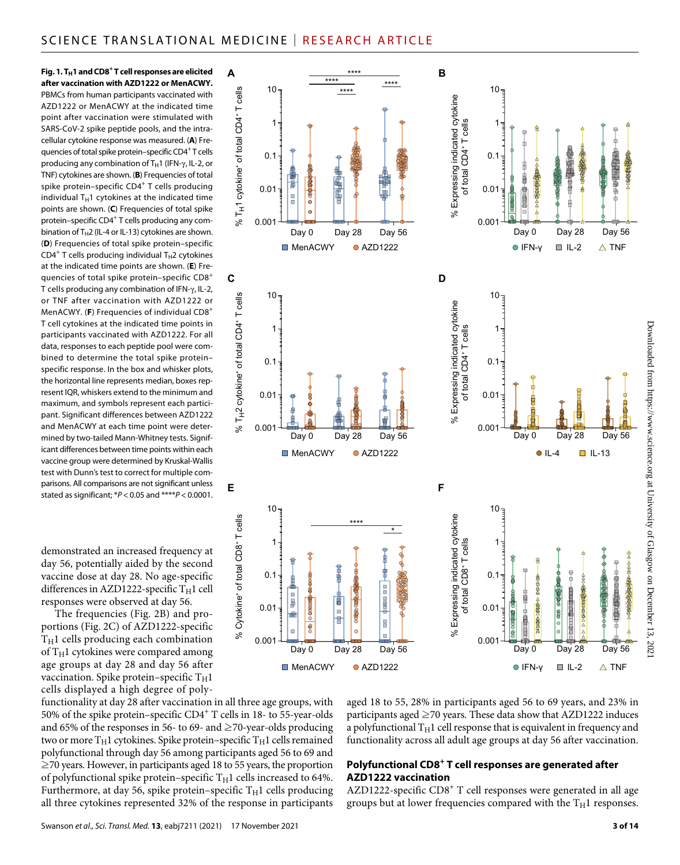Fig. 1. T<sub>H</sub>1 and CD8<sup>+</sup> T cell responses are elicited **after vaccination with AZD1222 or MenACWY.** PBMCs from human participants vaccinated with AZD1222 or MenACWY at the indicated time point after vaccination were stimulated with SARS-CoV-2 spike peptide pools, and the intracellular cytokine response was measured. (**A**) Frequencies of total spike protein-specific CD4<sup>+</sup>T cells producing any combination of  $T_H1$  (IFN- $\gamma$ , IL-2, or TNF) cytokines are shown. (**B**) Frequencies of total spike protein-specific CD4<sup>+</sup> T cells producing individual  $T_H1$  cytokines at the indicated time points are shown. (**C**) Frequencies of total spike protein–specific CD4<sup>+</sup> T cells producing any combination of  $T_H2$  (IL-4 or IL-13) cytokines are shown. (**D**) Frequencies of total spike protein–specific  $CD4^+$  T cells producing individual T<sub>H</sub>2 cytokines at the indicated time points are shown. (**E**) Frequencies of total spike protein–specific CD8<sup>+</sup> T cells producing any combination of IFN- $\gamma$ , IL-2, or TNF after vaccination with AZD1222 or MenACWY. (**F**) Frequencies of individual CD8<sup>+</sup> T cell cytokines at the indicated time points in participants vaccinated with AZD1222. For all data, responses to each peptide pool were combined to determine the total spike protein– specific response. In the box and whisker plots, the horizontal line represents median, boxes represent IQR, whiskers extend to the minimum and maximum, and symbols represent each participant. Significant differences between AZD1222 and MenACWY at each time point were determined by two-tailed Mann-Whitney tests. Significant differences between time points within each vaccine group were determined by Kruskal-Wallis test with Dunn's test to correct for multiple comparisons. All comparisons are not significant unless stated as significant; \**P* < 0.05 and \*\*\*\**P* < 0.0001.

demonstrated an increased frequency at day 56, potentially aided by the second vaccine dose at day 28. No age-specific differences in AZD1222-specific  $T_H1$  cell responses were observed at day 56.

The frequencies (Fig. 2B) and proportions (Fig. 2C) of AZD1222-specific  $T_H1$  cells producing each combination of  $T_H1$  cytokines were compared among age groups at day 28 and day 56 after vaccination. Spike protein–specific  $T_H1$ cells displayed a high degree of poly-



MenACWY 0 AZD1222

0.001

Downloaded from https://www.science.org at University of Glasgow on December 13, Downloaded from https://www.science.org at University of Glasgow on December 13, 2021. 2021

functionality at day 28 after vaccination in all three age groups, with 50% of the spike protein–specific CD4+ T cells in 18- to 55-year-olds and 65% of the responses in 56- to 69- and  $\geq$  70-year-olds producing two or more  $T_H1$  cytokines. Spike protein–specific  $T_H1$  cells remained polyfunctional through day 56 among participants aged 56 to 69 and  $\geq$ 70 years. However, in participants aged 18 to 55 years, the proportion of polyfunctional spike protein–specific  $T_H1$  cells increased to 64%. Furthermore, at day 56, spike protein–specific  $T_H1$  cells producing all three cytokines represented 32% of the response in participants

aged 18 to 55, 28% in participants aged 56 to 69 years, and 23% in participants aged  $\geq$ 70 years. These data show that AZD1222 induces a polyfunctional  $T_H1$  cell response that is equivalent in frequency and functionality across all adult age groups at day 56 after vaccination.

0.001

Day 0 Day 28 Day 56 Day 0 Day 28 Day 56

 $\bullet$  IFN-y  $\quad \blacksquare$  IL-2  $\quad \triangle$  TNF

# **Polyfunctional CD8<sup>+</sup> T cell responses are generated after AZD1222 vaccination**

AZD1222-specific CD8<sup>+</sup> T cell responses were generated in all age groups but at lower frequencies compared with the  $T_H1$  responses.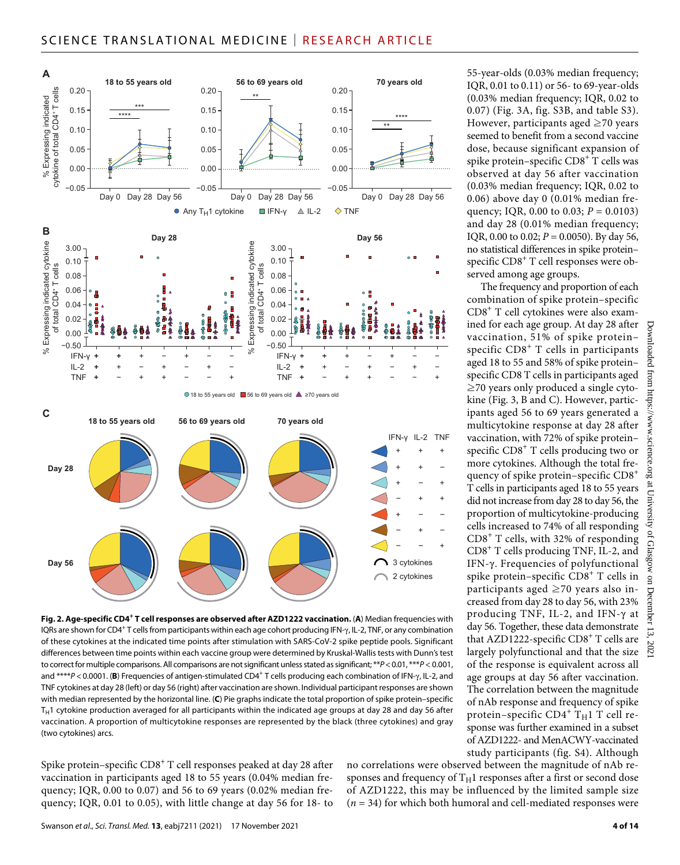

Fig. 2. Age-specific CD4<sup>+</sup> T cell responses are observed after AZD1222 vaccination. (A) Median frequencies with IQRs are shown for CD4<sup>+</sup>T cells from participants within each age cohort producing IFN- $\gamma$ , IL-2, TNF, or any combination of these cytokines at the indicated time points after stimulation with SARS-CoV-2 spike peptide pools. Significant differences between time points within each vaccine group were determined by Kruskal-Wallis tests with Dunn's test to correct for multiple comparisons. All comparisons are not significant unless stated as significant; \*\**P*<0.01, \*\*\**P* < 0.001, and \*\*\*\*P < 0.0001. (B) Frequencies of antigen-stimulated CD4<sup>+</sup> T cells producing each combination of IFN- $\gamma$ , IL-2, and TNF cytokines at day 28 (left) or day 56 (right) after vaccination are shown. Individual participant responses are shown with median represented by the horizontal line. (**C**) Pie graphs indicate the total proportion of spike protein–specific  $T_H1$  cytokine production averaged for all participants within the indicated age groups at day 28 and day 56 after vaccination. A proportion of multicytokine responses are represented by the black (three cytokines) and gray (two cytokines) arcs.

Spike protein–specific  $\text{CD8}^+$  T cell responses peaked at day 28 after vaccination in participants aged 18 to 55 years (0.04% median frequency; IQR, 0.00 to 0.07) and 56 to 69 years (0.02% median frequency; IQR, 0.01 to 0.05), with little change at day 56 for 18- to

55-year-olds (0.03% median frequency; IQR, 0.01 to 0.11) or 56- to 69-year-olds (0.03% median frequency; IQR, 0.02 to 0.07) (Fig. 3A, fig. S3B, and table S3). However, participants aged  $\geq$ 70 years seemed to benefit from a second vaccine dose, because significant expansion of spike protein–specific CD8<sup>+</sup> T cells was observed at day 56 after vaccination (0.03% median frequency; IQR, 0.02 to 0.06) above day 0 (0.01% median frequency; IQR, 0.00 to 0.03; *P* = 0.0103) and day 28 (0.01% median frequency; IQR, 0.00 to 0.02;  $P = 0.0050$ ). By day 56, no statistical differences in spike protein– specific CD8<sup>+</sup> T cell responses were observed among age groups.

The frequency and proportion of each combination of spike protein–specific CD8+ T cell cytokines were also examined for each age group. At day 28 after vaccination, 51% of spike protein– specific CD8<sup>+</sup> T cells in participants aged 18 to 55 and 58% of spike protein– specific CD8 T cells in participants aged ≥70 years only produced a single cytokine (Fig. 3, B and C). However, participants aged 56 to 69 years generated a multicytokine response at day 28 after vaccination, with 72% of spike protein– specific CD8<sup>+</sup> T cells producing two or more cytokines. Although the total frequency of spike protein–specific  $CD8<sup>+</sup>$ T cells in participants aged 18 to 55 years did not increase from day 28 to day 56, the proportion of multicytokine-producing cells increased to 74% of all responding CD8<sup>+</sup> T cells, with 32% of responding CD8+ T cells producing TNF, IL-2, and IFN-y. Frequencies of polyfunctional spike protein–specific CD8<sup>+</sup> T cells in participants aged ≥70 years also increased from day 28 to day 56, with 23% producing TNF, IL-2, and IFN- $\gamma$  at day 56. Together, these data demonstrate that AZD1222-specific CD8<sup>+</sup> T cells are largely polyfunctional and that the size of the response is equivalent across all age groups at day 56 after vaccination. The correlation between the magnitude of nAb response and frequency of spike protein–specific  $CD4^+$   $\mathrm{T_H1}$   $\mathrm{T}$  cell response was further examined in a subset of AZD1222- and MenACWY-vaccinated study participants (fig. S4). Although

no correlations were observed between the magnitude of nAb responses and frequency of  $T_H1$  responses after a first or second dose of AZD1222, this may be influenced by the limited sample size (*n* = 34) for which both humoral and cell-mediated responses were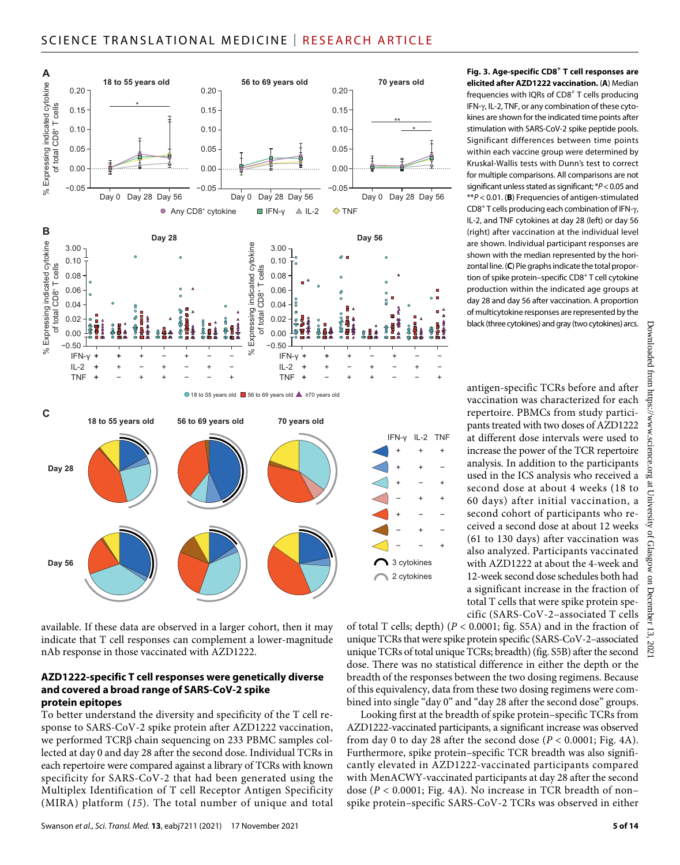

available. If these data are observed in a larger cohort, then it may indicate that T cell responses can complement a lower-magnitude nAb response in those vaccinated with AZD1222.

#### **AZD1222-specific T cell responses were genetically diverse and covered a broad range of SARS-CoV-2 spike protein epitopes**

To better understand the diversity and specificity of the T cell response to SARS-CoV-2 spike protein after AZD1222 vaccination, we performed  $TCR\beta$  chain sequencing on 233 PBMC samples collected at day 0 and day 28 after the second dose. Individual TCRs in each repertoire were compared against a library of TCRs with known specificity for SARS-CoV-2 that had been generated using the Multiplex Identification of T cell Receptor Antigen Specificity (MIRA) platform (*15*). The total number of unique and total **Fig. 3. Age-specific CD8+ T cell responses are elicited after AZD1222 vaccination.** (**A**) Median frequencies with IQRs of  $CDS<sup>+</sup>$  T cells producing IFN-y, IL-2, TNF, or any combination of these cytokines are shown for the indicated time points after stimulation with SARS-CoV-2 spike peptide pools. Significant differences between time points within each vaccine group were determined by Kruskal-Wallis tests with Dunn's test to correct for multiple comparisons. All comparisons are not significant unless stated as significant; \**P*<0.05 and \*\**P* < 0.01. (**B**) Frequencies of antigen-stimulated CD8<sup>+</sup> T cells producing each combination of IFN- $\gamma$ , IL-2, and TNF cytokines at day 28 (left) or day 56 (right) after vaccination at the individual level are shown. Individual participant responses are shown with the median represented by the horizontal line. (**C**) Pie graphs indicate the total proportion of spike protein–specific CD8<sup>+</sup> T cell cytokine production within the indicated age groups at day 28 and day 56 after vaccination. A proportion of multicytokine responses are represented by the black (three cytokines) and gray (two cytokines) arcs.

antigen-specific TCRs before and after vaccination was characterized for each repertoire. PBMCs from study participants treated with two doses of AZD1222 at different dose intervals were used to increase the power of the TCR repertoire analysis. In addition to the participants used in the ICS analysis who received a second dose at about 4 weeks (18 to 60 days) after initial vaccination, a second cohort of participants who received a second dose at about 12 weeks (61 to 130 days) after vaccination was also analyzed. Participants vaccinated with AZD1222 at about the 4-week and 12-week second dose schedules both had a significant increase in the fraction of total T cells that were spike protein spe-

cific (SARS-CoV-2–associated T cells of total T cells; depth) (*P* < 0.0001; fig. S5A) and in the fraction of unique TCRs that were spike protein specific (SARS-CoV-2–associated unique TCRs of total unique TCRs; breadth) (fig. S5B) after the second dose. There was no statistical difference in either the depth or the breadth of the responses between the two dosing regimens. Because of this equivalency, data from these two dosing regimens were combined into single "day 0" and "day 28 after the second dose" groups. Looking first at the breadth of spike protein–specific TCRs from

AZD1222-vaccinated participants, a significant increase was observed from day 0 to day 28 after the second dose  $(P < 0.0001$ ; Fig. 4A). Furthermore, spike protein–specific TCR breadth was also significantly elevated in AZD1222-vaccinated participants compared with MenACWY-vaccinated participants at day 28 after the second dose (*P* < 0.0001; Fig. 4A). No increase in TCR breadth of non– spike protein–specific SARS-CoV-2 TCRs was observed in either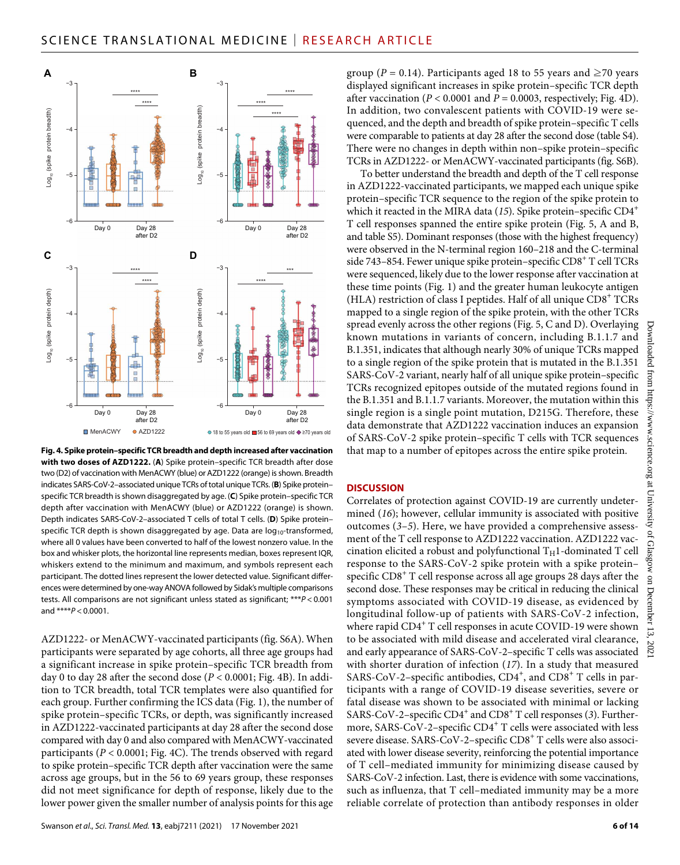

**Fig. 4. Spike protein–specific TCR breadth and depth increased after vaccination with two doses of AZD1222.** (**A**) Spike protein–specific TCR breadth after dose two (D2) of vaccination with MenACWY (blue) or AZD1222 (orange) is shown. Breadth indicates SARS-CoV-2–associated unique TCRs of total unique TCRs. (**B**) Spike protein– specific TCR breadth is shown disaggregated by age. (**C**) Spike protein–specific TCR depth after vaccination with MenACWY (blue) or AZD1222 (orange) is shown. Depth indicates SARS-CoV-2–associated T cells of total T cells. (**D**) Spike protein– specific TCR depth is shown disaggregated by age. Data are  $log_{10}$ -transformed, where all 0 values have been converted to half of the lowest nonzero value. In the box and whisker plots, the horizontal line represents median, boxes represent IQR, whiskers extend to the minimum and maximum, and symbols represent each participant. The dotted lines represent the lower detected value. Significant differences were determined by one-way ANOVA followed by Sidak's multiple comparisons tests. All comparisons are not significant unless stated as significant; \*\*\**P* < 0.001 and \*\*\*\**P* < 0.0001.

AZD1222- or MenACWY-vaccinated participants (fig. S6A). When participants were separated by age cohorts, all three age groups had a significant increase in spike protein–specific TCR breadth from day 0 to day 28 after the second dose (*P* < 0.0001; Fig. 4B). In addition to TCR breadth, total TCR templates were also quantified for each group. Further confirming the ICS data (Fig. 1), the number of spike protein–specific TCRs, or depth, was significantly increased in AZD1222-vaccinated participants at day 28 after the second dose compared with day 0 and also compared with MenACWY-vaccinated participants (*P* < 0.0001; Fig. 4C). The trends observed with regard to spike protein–specific TCR depth after vaccination were the same across age groups, but in the 56 to 69 years group, these responses did not meet significance for depth of response, likely due to the lower power given the smaller number of analysis points for this age

group ( $P = 0.14$ ). Participants aged 18 to 55 years and  $\geq 70$  years displayed significant increases in spike protein–specific TCR depth after vaccination ( $P < 0.0001$  and  $P = 0.0003$ , respectively; Fig. 4D). In addition, two convalescent patients with COVID-19 were sequenced, and the depth and breadth of spike protein–specific T cells were comparable to patients at day 28 after the second dose (table S4). There were no changes in depth within non–spike protein–specific TCRs in AZD1222- or MenACWY-vaccinated participants (fig. S6B).

To better understand the breadth and depth of the T cell response in AZD1222-vaccinated participants, we mapped each unique spike protein–specific TCR sequence to the region of the spike protein to which it reacted in the MIRA data (15). Spike protein–specific CD4<sup>+</sup> T cell responses spanned the entire spike protein (Fig. 5, A and B, and table S5). Dominant responses (those with the highest frequency) were observed in the N-terminal region 160–218 and the C-terminal side 743-854. Fewer unique spike protein-specific CD8<sup>+</sup> T cell TCRs were sequenced, likely due to the lower response after vaccination at these time points (Fig. 1) and the greater human leukocyte antigen (HLA) restriction of class I peptides. Half of all unique CD8<sup>+</sup> TCRs mapped to a single region of the spike protein, with the other TCRs spread evenly across the other regions (Fig. 5, C and D). Overlaying known mutations in variants of concern, including B.1.1.7 and B.1.351, indicates that although nearly 30% of unique TCRs mapped to a single region of the spike protein that is mutated in the B.1.351 SARS-CoV-2 variant, nearly half of all unique spike protein–specific TCRs recognized epitopes outside of the mutated regions found in the B.1.351 and B.1.1.7 variants. Moreover, the mutation within this single region is a single point mutation, D215G. Therefore, these data demonstrate that AZD1222 vaccination induces an expansion of SARS-CoV-2 spike protein–specific T cells with TCR sequences that map to a number of epitopes across the entire spike protein.

## **DISCUSSION**

Correlates of protection against COVID-19 are currently undetermined (*16*); however, cellular immunity is associated with positive outcomes (*3*–*5*). Here, we have provided a comprehensive assessment of the T cell response to AZD1222 vaccination. AZD1222 vaccination elicited a robust and polyfunctional  $T_H1$ -dominated T cell response to the SARS-CoV-2 spike protein with a spike protein– specific CD8 $^+$  T cell response across all age groups 28 days after the second dose. These responses may be critical in reducing the clinical symptoms associated with COVID-19 disease, as evidenced by longitudinal follow-up of patients with SARS-CoV-2 infection, where rapid CD4 $^{\mathrm{+}}$  T cell responses in acute COVID-19 were shown to be associated with mild disease and accelerated viral clearance, and early appearance of SARS-CoV-2–specific T cells was associated with shorter duration of infection (*17*). In a study that measured SARS-CoV-2–specific antibodies, CD4<sup>+</sup>, and CD8<sup>+</sup> T cells in participants with a range of COVID-19 disease severities, severe or fatal disease was shown to be associated with minimal or lacking SARS-CoV-2-specific CD4<sup>+</sup> and CD8<sup>+</sup> T cell responses (3). Furthermore, SARS-CoV-2–specific CD4 $^+$  T cells were associated with less severe disease. SARS-CoV-2–specific  $\text{CD8}^+$  T cells were also associated with lower disease severity, reinforcing the potential importance of T cell–mediated immunity for minimizing disease caused by SARS-CoV-2 infection. Last, there is evidence with some vaccinations, such as influenza, that T cell–mediated immunity may be a more reliable correlate of protection than antibody responses in older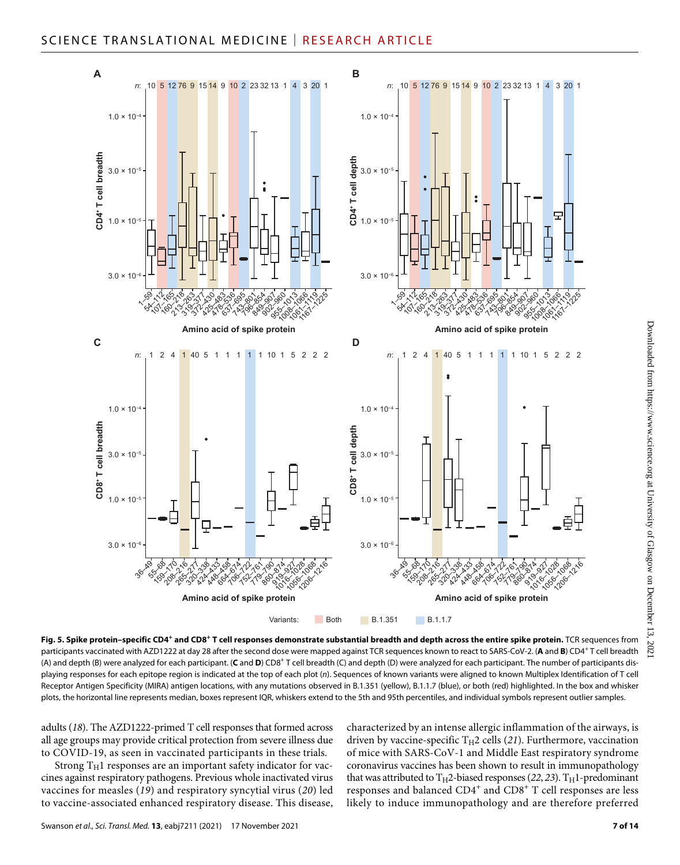

**Fig. 5. Spike protein–specific CD4<sup>+</sup> and CD8<sup>+</sup> T cell responses demonstrate substantial breadth and depth across the entire spike protein.** TCR sequences from participants vaccinated with AZD1222 at day 28 after the second dose were mapped against TCR sequences known to react to SARS-CoV-2. (**A** and **B**) CD4<sup>+</sup> T cell breadth (A) and depth (B) were analyzed for each participant. (C and D) CD8<sup>+</sup> T cell breadth (C) and depth (D) were analyzed for each participant. The number of participants displaying responses for each epitope region is indicated at the top of each plot (*n*). Sequences of known variants were aligned to known Multiplex Identification of T cell Receptor Antigen Specificity (MIRA) antigen locations, with any mutations observed in B.1.351 (yellow), B.1.1.7 (blue), or both (red) highlighted. In the box and whisker plots, the horizontal line represents median, boxes represent IQR, whiskers extend to the 5th and 95th percentiles, and individual symbols represent outlier samples.

adults (*18*). The AZD1222-primed T cell responses that formed across all age groups may provide critical protection from severe illness due to COVID-19, as seen in vaccinated participants in these trials.

Strong  $T_H1$  responses are an important safety indicator for vaccines against respiratory pathogens. Previous whole inactivated virus vaccines for measles (*19*) and respiratory syncytial virus (*20*) led to vaccine-associated enhanced respiratory disease. This disease, characterized by an intense allergic inflammation of the airways, is driven by vaccine-specific  $T_H2$  cells (21). Furthermore, vaccination of mice with SARS-CoV-1 and Middle East respiratory syndrome coronavirus vaccines has been shown to result in immunopathology that was attributed to  $T_H$ 2-biased responses (22, 23).  $T_H$ 1-predominant responses and balanced  $CD4^+$  and  $CD8^+$  T cell responses are less likely to induce immunopathology and are therefore preferred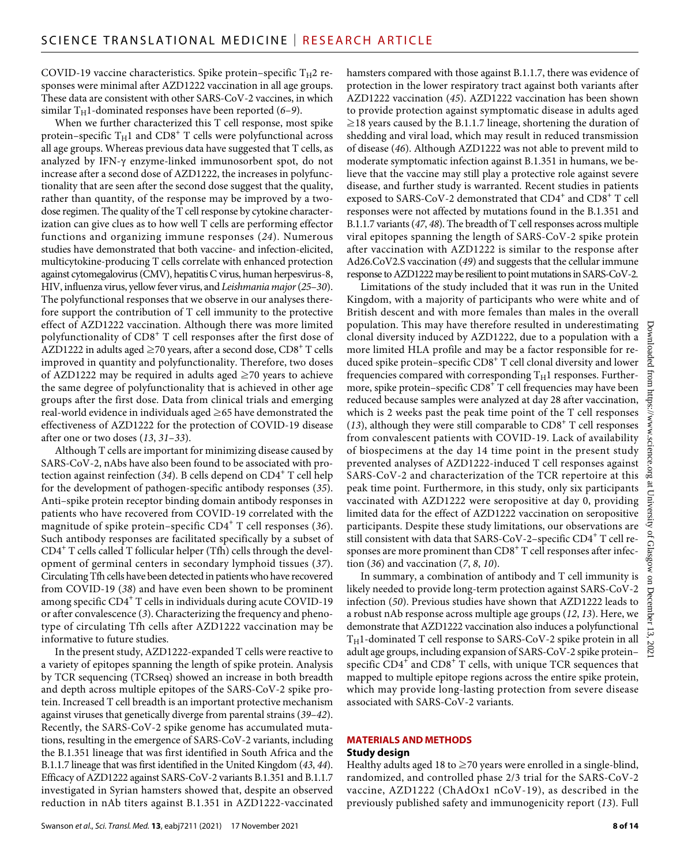COVID-19 vaccine characteristics. Spike protein–specific  $T_H2$  responses were minimal after AZD1222 vaccination in all age groups. These data are consistent with other SARS-CoV-2 vaccines, in which similar  $T_H$ 1-dominated responses have been reported (6–9).

When we further characterized this T cell response, most spike protein–specific  $T_{\rm H}$ 1 and CD8 $^+$  T cells were polyfunctional across all age groups. Whereas previous data have suggested that T cells, as analyzed by IFN- $\gamma$  enzyme-linked immunosorbent spot, do not increase after a second dose of AZD1222, the increases in polyfunctionality that are seen after the second dose suggest that the quality, rather than quantity, of the response may be improved by a twodose regimen. The quality of the T cell response by cytokine characterization can give clues as to how well T cells are performing effector functions and organizing immune responses (*24*). Numerous studies have demonstrated that both vaccine- and infection-elicited, multicytokine-producing T cells correlate with enhanced protection against cytomegalovirus (CMV), hepatitis C virus, human herpesvirus-8, HIV, influenza virus, yellow fever virus, and *Leishmania major* (*25*–*30*). The polyfunctional responses that we observe in our analyses therefore support the contribution of T cell immunity to the protective effect of AZD1222 vaccination. Although there was more limited polyfunctionality of CD8<sup>+</sup> T cell responses after the first dose of <code>AZD1222</code> in adults aged  ${\ge}70$  years, after a second dose, CD8 $^+$  T cells improved in quantity and polyfunctionality. Therefore, two doses of AZD1222 may be required in adults aged  $\geq$ 70 years to achieve the same degree of polyfunctionality that is achieved in other age groups after the first dose. Data from clinical trials and emerging real-world evidence in individuals aged ≥65 have demonstrated the effectiveness of AZD1222 for the protection of COVID-19 disease after one or two doses (*13*, *31*–*33*).

Although T cells are important for minimizing disease caused by SARS-CoV-2, nAbs have also been found to be associated with protection against reinfection (34). B cells depend on CD4<sup>+</sup> T cell help for the development of pathogen-specific antibody responses (*35*). Anti–spike protein receptor binding domain antibody responses in patients who have recovered from COVID-19 correlated with the magnitude of spike protein–specific CD4<sup>+</sup> T cell responses (*36*). Such antibody responses are facilitated specifically by a subset of CD4+ T cells called T follicular helper (Tfh) cells through the development of germinal centers in secondary lymphoid tissues (*37*). Circulating Tfh cells have been detected in patients who have recovered from COVID-19 (*38*) and have even been shown to be prominent among specific CD4+ T cells in individuals during acute COVID-19 or after convalescence (*3*). Characterizing the frequency and phenotype of circulating Tfh cells after AZD1222 vaccination may be informative to future studies.

In the present study, AZD1222-expanded T cells were reactive to a variety of epitopes spanning the length of spike protein. Analysis by TCR sequencing (TCRseq) showed an increase in both breadth and depth across multiple epitopes of the SARS-CoV-2 spike protein. Increased T cell breadth is an important protective mechanism against viruses that genetically diverge from parental strains (*39*–*42*). Recently, the SARS-CoV-2 spike genome has accumulated mutations, resulting in the emergence of SARS-CoV-2 variants, including the B.1.351 lineage that was first identified in South Africa and the B.1.1.7 lineage that was first identified in the United Kingdom (*43*, *44*). Efficacy of AZD1222 against SARS-CoV-2 variants B.1.351 and B.1.1.7 investigated in Syrian hamsters showed that, despite an observed reduction in nAb titers against B.1.351 in AZD1222-vaccinated

hamsters compared with those against B.1.1.7, there was evidence of protection in the lower respiratory tract against both variants after AZD1222 vaccination (*45*). AZD1222 vaccination has been shown to provide protection against symptomatic disease in adults aged  $\geq$ 18 years caused by the B.1.1.7 lineage, shortening the duration of shedding and viral load, which may result in reduced transmission of disease (*46*). Although AZD1222 was not able to prevent mild to moderate symptomatic infection against B.1.351 in humans, we believe that the vaccine may still play a protective role against severe disease, and further study is warranted. Recent studies in patients exposed to SARS-CoV-2 demonstrated that  $CD4^+$  and  $CD8^+$  T cell responses were not affected by mutations found in the B.1.351 and B.1.1.7 variants (*47*, *48*). The breadth of T cell responses across multiple viral epitopes spanning the length of SARS-CoV-2 spike protein after vaccination with AZD1222 is similar to the response after Ad26.CoV2.S vaccination (*49*) and suggests that the cellular immune response to AZD1222 may be resilient to point mutations in SARS-CoV-2.

Limitations of the study included that it was run in the United Kingdom, with a majority of participants who were white and of British descent and with more females than males in the overall population. This may have therefore resulted in underestimating clonal diversity induced by AZD1222, due to a population with a more limited HLA profile and may be a factor responsible for reduced spike protein–specific  $\text{CD8}^{+}\text{T}$  cell clonal diversity and lower frequencies compared with corresponding  $T_H1$  responses. Furthermore, spike protein-specific CD8<sup>+</sup> T cell frequencies may have been reduced because samples were analyzed at day 28 after vaccination, which is 2 weeks past the peak time point of the T cell responses (13), although they were still comparable to  $CD8<sup>+</sup>$  T cell responses from convalescent patients with COVID-19. Lack of availability of biospecimens at the day 14 time point in the present study prevented analyses of AZD1222-induced T cell responses against SARS-CoV-2 and characterization of the TCR repertoire at this peak time point. Furthermore, in this study, only six participants vaccinated with AZD1222 were seropositive at day 0, providing limited data for the effect of AZD1222 vaccination on seropositive participants. Despite these study limitations, our observations are still consistent with data that SARS-CoV-2–specific CD4 $^{\mathrm{+}}$  T cell responses are more prominent than CD8 $^{\mathrm{+}}$  T cell responses after infection (*36*) and vaccination (*7*, *8*, *10*).

In summary, a combination of antibody and T cell immunity is likely needed to provide long-term protection against SARS-CoV-2 infection (*50*). Previous studies have shown that AZD1222 leads to a robust nAb response across multiple age groups (*12*, *13*). Here, we demonstrate that AZD1222 vaccination also induces a polyfunctional  $T_H1$ -dominated T cell response to SARS-CoV-2 spike protein in all adult age groups, including expansion of SARS-CoV-2 spike protein– specific  $CD4^+$  and  $CD8^+$  T cells, with unique TCR sequences that mapped to multiple epitope regions across the entire spike protein, which may provide long-lasting protection from severe disease associated with SARS-CoV-2 variants.

# **MATERIALS AND METHODS**

## **Study design**

Healthy adults aged 18 to  $\geq$  70 years were enrolled in a single-blind, randomized, and controlled phase 2/3 trial for the SARS-CoV-2 vaccine, AZD1222 (ChAdOx1 nCoV-19), as described in the previously published safety and immunogenicity report (*13*). Full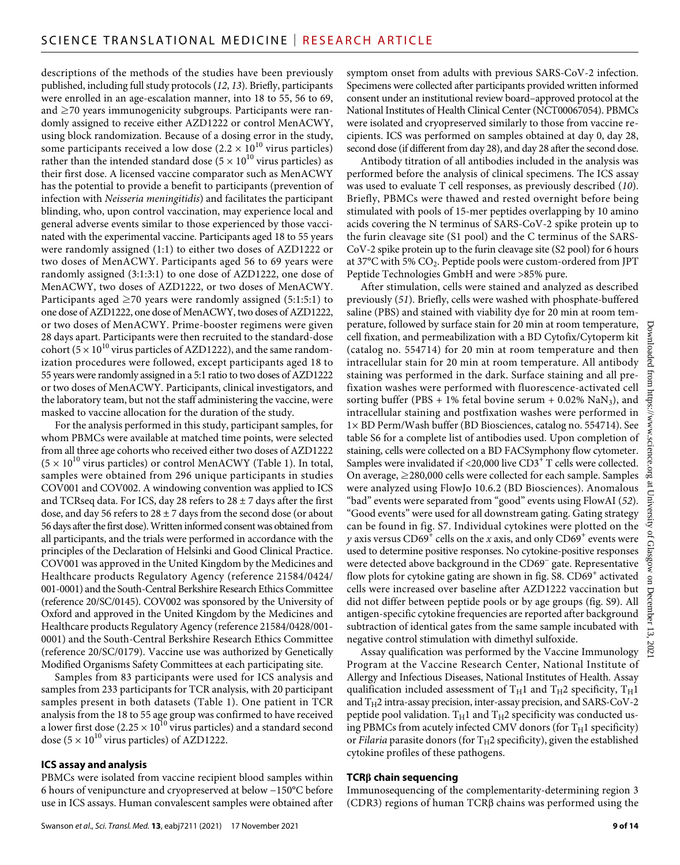descriptions of the methods of the studies have been previously published, including full study protocols (*12*, *13*). Briefly, participants were enrolled in an age-escalation manner, into 18 to 55, 56 to 69, and ≥70 years immunogenicity subgroups. Participants were randomly assigned to receive either AZD1222 or control MenACWY, using block randomization. Because of a dosing error in the study, some participants received a low dose (2.2  $\times$   $10^{10}$  virus particles) rather than the intended standard dose (5  $\times$  10<sup>10</sup> virus particles) as their first dose. A licensed vaccine comparator such as MenACWY has the potential to provide a benefit to participants (prevention of infection with *Neisseria meningitidis*) and facilitates the participant blinding, who, upon control vaccination, may experience local and general adverse events similar to those experienced by those vaccinated with the experimental vaccine. Participants aged 18 to 55 years were randomly assigned (1:1) to either two doses of AZD1222 or two doses of MenACWY. Participants aged 56 to 69 years were randomly assigned (3:1:3:1) to one dose of AZD1222, one dose of MenACWY, two doses of AZD1222, or two doses of MenACWY. Participants aged  $\geq$  70 years were randomly assigned (5:1:5:1) to one dose of AZD1222, one dose of MenACWY, two doses of AZD1222, or two doses of MenACWY. Prime-booster regimens were given 28 days apart. Participants were then recruited to the standard-dose cohort ( $5 \times 10^{10}$  virus particles of AZD1222), and the same randomization procedures were followed, except participants aged 18 to 55 years were randomly assigned in a 5:1 ratio to two doses of AZD1222 or two doses of MenACWY. Participants, clinical investigators, and the laboratory team, but not the staff administering the vaccine, were masked to vaccine allocation for the duration of the study.

For the analysis performed in this study, participant samples, for whom PBMCs were available at matched time points, were selected from all three age cohorts who received either two doses of AZD1222  $(5 \times 10^{10}$  virus particles) or control MenACWY (Table 1). In total, samples were obtained from 296 unique participants in studies COV001 and COV002. A windowing convention was applied to ICS and TCRseq data. For ICS, day 28 refers to  $28 \pm 7$  days after the first dose, and day 56 refers to  $28 \pm 7$  days from the second dose (or about 56 days after the first dose). Written informed consent was obtained from all participants, and the trials were performed in accordance with the principles of the Declaration of Helsinki and Good Clinical Practice. COV001 was approved in the United Kingdom by the Medicines and Healthcare products Regulatory Agency (reference 21584/0424/ 001-0001) and the South-Central Berkshire Research Ethics Committee (reference 20/SC/0145). COV002 was sponsored by the University of Oxford and approved in the United Kingdom by the Medicines and Healthcare products Regulatory Agency (reference 21584/0428/001- 0001) and the South-Central Berkshire Research Ethics Committee (reference 20/SC/0179). Vaccine use was authorized by Genetically Modified Organisms Safety Committees at each participating site.

Samples from 83 participants were used for ICS analysis and samples from 233 participants for TCR analysis, with 20 participant samples present in both datasets (Table 1). One patient in TCR analysis from the 18 to 55 age group was confirmed to have received a lower first dose  $(2.25 \times 10^{10} \text{ virus particles})$  and a standard second dose  $(5 \times 10^{10}$  virus particles) of AZD1222.

# **ICS assay and analysis**

PBMCs were isolated from vaccine recipient blood samples within 6 hours of venipuncture and cryopreserved at below −150°C before use in ICS assays. Human convalescent samples were obtained after symptom onset from adults with previous SARS-CoV-2 infection. Specimens were collected after participants provided written informed consent under an institutional review board–approved protocol at the National Institutes of Health Clinical Center (NCT00067054). PBMCs were isolated and cryopreserved similarly to those from vaccine recipients. ICS was performed on samples obtained at day 0, day 28, second dose (if different from day 28), and day 28 after the second dose.

Antibody titration of all antibodies included in the analysis was performed before the analysis of clinical specimens. The ICS assay was used to evaluate T cell responses, as previously described (*10*). Briefly, PBMCs were thawed and rested overnight before being stimulated with pools of 15-mer peptides overlapping by 10 amino acids covering the N terminus of SARS-CoV-2 spike protein up to the furin cleavage site (S1 pool) and the C terminus of the SARS-CoV-2 spike protein up to the furin cleavage site (S2 pool) for 6 hours at 37 $\rm{^{\circ}C}$  with 5%  $\rm{CO}_{2}$ . Peptide pools were custom-ordered from JPT Peptide Technologies GmbH and were >85% pure.

After stimulation, cells were stained and analyzed as described previously (*51*). Briefly, cells were washed with phosphate-buffered saline (PBS) and stained with viability dye for 20 min at room temperature, followed by surface stain for 20 min at room temperature, cell fixation, and permeabilization with a BD Cytofix/Cytoperm kit (catalog no. 554714) for 20 min at room temperature and then intracellular stain for 20 min at room temperature. All antibody staining was performed in the dark. Surface staining and all prefixation washes were performed with fluorescence-activated cell sorting buffer (PBS + 1% fetal bovine serum +  $0.02\%$  NaN<sub>3</sub>), and intracellular staining and postfixation washes were performed in 1× BD Perm/Wash buffer (BD Biosciences, catalog no. 554714). See table S6 for a complete list of antibodies used. Upon completion of staining, cells were collected on a BD FACSymphony flow cytometer. Samples were invalidated if <20,000 live  $CD3^+$  T cells were collected. On average,  $\geq$  280,000 cells were collected for each sample. Samples were analyzed using FlowJo 10.6.2 (BD Biosciences). Anomalous "bad" events were separated from "good" events using FlowAI (*52*). "Good events" were used for all downstream gating. Gating strategy can be found in fig. S7. Individual cytokines were plotted on the *y* axis versus  $C D69^+$  cells on the *x* axis, and only  $C D69^+$  events were used to determine positive responses. No cytokine-positive responses were detected above background in the CD69− gate. Representative flow plots for cytokine gating are shown in fig.  $S8$ .  $CD69^+$  activated cells were increased over baseline after AZD1222 vaccination but did not differ between peptide pools or by age groups (fig. S9). All antigen-specific cytokine frequencies are reported after background subtraction of identical gates from the same sample incubated with negative control stimulation with dimethyl sulfoxide.

Assay qualification was performed by the Vaccine Immunology Program at the Vaccine Research Center, National Institute of Allergy and Infectious Diseases, National Institutes of Health. Assay qualification included assessment of  $T_H1$  and  $T_H2$  specificity,  $T_H1$ and  $T_H2$  intra-assay precision, inter-assay precision, and SARS-CoV-2 peptide pool validation.  $T_H1$  and  $T_H2$  specificity was conducted using PBMCs from acutely infected CMV donors (for  $T_H1$  specificity) or *Filaria* parasite donors (for  $T_H2$  specificity), given the established cytokine profiles of these pathogens.

# **TCR chain sequencing**

Immunosequencing of the complementarity-determining region 3 (CDR3) regions of human  $TCR\beta$  chains was performed using the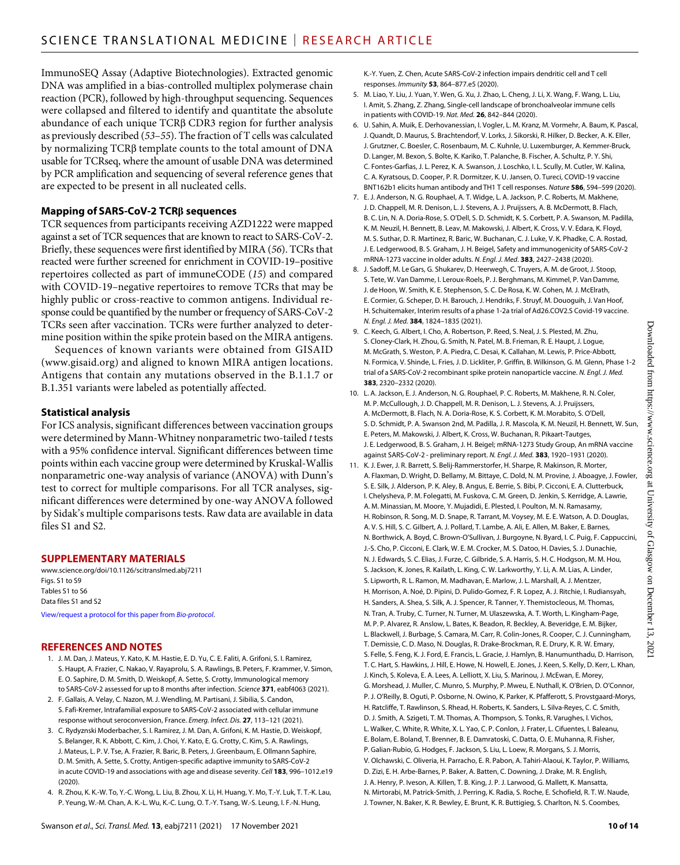ImmunoSEQ Assay (Adaptive Biotechnologies). Extracted genomic DNA was amplified in a bias-controlled multiplex polymerase chain reaction (PCR), followed by high-throughput sequencing. Sequences were collapsed and filtered to identify and quantitate the absolute abundance of each unique TCRB CDR3 region for further analysis as previously described (*53*–*55*). The fraction of T cells was calculated by normalizing TCRB template counts to the total amount of DNA usable for TCRseq, where the amount of usable DNA was determined by PCR amplification and sequencing of several reference genes that are expected to be present in all nucleated cells.

## **Mapping of SARS-CoV-2 TCR sequences**

TCR sequences from participants receiving AZD1222 were mapped against a set of TCR sequences that are known to react to SARS-CoV-2. Briefly, these sequences were first identified by MIRA (*56*). TCRs that reacted were further screened for enrichment in COVID-19–positive repertoires collected as part of immuneCODE (*15*) and compared with COVID-19–negative repertoires to remove TCRs that may be highly public or cross-reactive to common antigens. Individual response could be quantified by the number or frequency of SARS-CoV-2 TCRs seen after vaccination. TCRs were further analyzed to determine position within the spike protein based on the MIRA antigens.

Sequences of known variants were obtained from GISAID [\(www.gisaid.org](http://www.gisaid.org)) and aligned to known MIRA antigen locations. Antigens that contain any mutations observed in the B.1.1.7 or B.1.351 variants were labeled as potentially affected.

# **Statistical analysis**

For ICS analysis, significant differences between vaccination groups were determined by Mann-Whitney nonparametric two-tailed *t* tests with a 95% confidence interval. Significant differences between time points within each vaccine group were determined by Kruskal-Wallis nonparametric one-way analysis of variance (ANOVA) with Dunn's test to correct for multiple comparisons. For all TCR analyses, significant differences were determined by one-way ANOVA followed by Sidak's multiple comparisons tests. Raw data are available in data files S1 and S2.

## **SUPPLEMENTARY MATERIALS**

[www.science.org/doi/10.1126/scitranslmed.abj7211](http://www.science.org/doi/10.1126/scitranslmed.abj7211) Figs. S1 to S9 Tables S1 to S6 Data files S1 and S2

[View/request a protocol for this paper from](https://en.bio-protocol.org/cjrap.aspx?eid=10.1126/scitranslmed.abj7211) *Bio-protocol*.

## **REFERENCES AND NOTES**

- 1. J. M. Dan, J. Mateus, Y. Kato, K. M. Hastie, E. D. Yu, C. E. Faliti, A. Grifoni, S. I. Ramirez, S. Haupt, A. Frazier, C. Nakao, V. Rayaprolu, S. A. Rawlings, B. Peters, F. Krammer, V. Simon, E. O. Saphire, D. M. Smith, D. Weiskopf, A. Sette, S. Crotty, Immunological memory to SARS-CoV-2 assessed for up to 8 months after infection. *Science* **371**, eabf4063 (2021).
- 2. F. Gallais, A. Velay, C. Nazon, M. J. Wendling, M. Partisani, J. Sibilia, S. Candon, S. Fafi-Kremer, Intrafamilial exposure to SARS-CoV-2 associated with cellular immune response without seroconversion, France. *Emerg. Infect. Dis.* **27**, 113–121 (2021).
- 3. C. Rydyznski Moderbacher, S. I. Ramirez, J. M. Dan, A. Grifoni, K. M. Hastie, D. Weiskopf, S. Belanger, R. K. Abbott, C. Kim, J. Choi, Y. Kato, E. G. Crotty, C. Kim, S. A. Rawlings, J. Mateus, L. P. V. Tse, A. Frazier, R. Baric, B. Peters, J. Greenbaum, E. Ollmann Saphire, D. M. Smith, A. Sette, S. Crotty, Antigen-specific adaptive immunity to SARS-CoV-2 in acute COVID-19 and associations with age and disease severity. *Cell* **183**, 996–1012.e19  $(2020)$
- 4. R. Zhou, K. K.-W. To, Y.-C. Wong, L. Liu, B. Zhou, X. Li, H. Huang, Y. Mo, T.-Y. Luk, T. T.-K. Lau, P. Yeung, W.-M. Chan, A. K.-L. Wu, K.-C. Lung, O. T.-Y. Tsang, W.-S. Leung, I. F.-N. Hung,

K.-Y. Yuen, Z. Chen, Acute SARS-CoV-2 infection impairs dendritic cell and T cell responses. *Immunity* **53**, 864–877.e5 (2020).

- 5. M. Liao, Y. Liu, J. Yuan, Y. Wen, G. Xu, J. Zhao, L. Cheng, J. Li, X. Wang, F. Wang, L. Liu, I. Amit, S. Zhang, Z. Zhang, Single-cell landscape of bronchoalveolar immune cells in patients with COVID-19. *Nat. Med.* **26**, 842–844 (2020).
- 6. U. Sahin, A. Muik, E. Derhovanessian, I. Vogler, L. M. Kranz, M. Vormehr, A. Baum, K. Pascal, J. Quandt, D. Maurus, S. Brachtendorf, V. Lorks, J. Sikorski, R. Hilker, D. Becker, A. K. Eller, J. Grutzner, C. Boesler, C. Rosenbaum, M. C. Kuhnle, U. Luxemburger, A. Kemmer-Bruck, D. Langer, M. Bexon, S. Bolte, K. Kariko, T. Palanche, B. Fischer, A. Schultz, P. Y. Shi, C. Fontes-Garfias, J. L. Perez, K. A. Swanson, J. Loschko, I. L. Scully, M. Cutler, W. Kalina, C. A. Kyratsous, D. Cooper, P. R. Dormitzer, K. U. Jansen, O. Tureci, COVID-19 vaccine BNT162b1 elicits human antibody and TH1 T cell responses. *Nature* **586**, 594–599 (2020).
- 7. E. J. Anderson, N. G. Rouphael, A. T. Widge, L. A. Jackson, P. C. Roberts, M. Makhene, J. D. Chappell, M. R. Denison, L. J. Stevens, A. J. Pruijssers, A. B. McDermott, B. Flach, B. C. Lin, N. A. Doria-Rose, S. O'Dell, S. D. Schmidt, K. S. Corbett, P. A. Swanson, M. Padilla, K. M. Neuzil, H. Bennett, B. Leav, M. Makowski, J. Albert, K. Cross, V. V. Edara, K. Floyd, M. S. Suthar, D. R. Martinez, R. Baric, W. Buchanan, C. J. Luke, V. K. Phadke, C. A. Rostad, J. E. Ledgerwood, B. S. Graham, J. H. Beigel, Safety and immunogenicity of SARS-CoV-2 mRNA-1273 vaccine in older adults. *N. Engl. J. Med.* **383**, 2427–2438 (2020).
- 8. J. Sadoff, M. Le Gars, G. Shukarev, D. Heerwegh, C. Truyers, A. M. de Groot, J. Stoop, S. Tete, W. Van Damme, I. Leroux-Roels, P. J. Berghmans, M. Kimmel, P. VanDamme, J. de Hoon, W. Smith, K. E. Stephenson, S. C. De Rosa, K. W. Cohen, M. J. McElrath, E. Cormier, G. Scheper, D. H. Barouch, J. Hendriks, F. Struyf, M. Douoguih, J. Van Hoof, H. Schuitemaker, Interim results of a phase 1-2a trial of Ad26.COV2.S Covid-19 vaccine. *N. Engl. J. Med.* **384**, 1824–1835 (2021).
- 9. C. Keech, G. Albert, I. Cho, A. Robertson, P. Reed, S. Neal, J. S. Plested, M. Zhu, S. Cloney-Clark, H. Zhou, G. Smith, N. Patel, M. B. Frieman, R. E. Haupt, J. Logue, M. McGrath, S. Weston, P. A. Piedra, C. Desai, K. Callahan, M. Lewis, P. Price-Abbott, N. Formica, V. Shinde, L. Fries, J. D. Lickliter, P. Griffin, B. Wilkinson, G. M. Glenn, Phase 1-2 trial of a SARS-CoV-2 recombinant spike protein nanoparticle vaccine. *N. Engl. J. Med.* **383**, 2320–2332 (2020).
- 10. L. A. Jackson, E. J. Anderson, N. G. Rouphael, P. C. Roberts, M. Makhene, R. N. Coler, M. P. McCullough, J. D. Chappell, M. R. Denison, L. J. Stevens, A. J. Pruijssers, A. McDermott, B. Flach, N. A. Doria-Rose, K. S. Corbett, K. M. Morabito, S. O'Dell, S. D. Schmidt, P. A. Swanson 2nd, M. Padilla, J. R. Mascola, K. M. Neuzil, H. Bennett, W. Sun, E. Peters, M. Makowski, J. Albert, K. Cross, W. Buchanan, R. Pikaart-Tautges, J. E. Ledgerwood, B. S. Graham, J. H. Beigel; mRNA-1273 Study Group, An mRNA vaccine against SARS-CoV-2 - preliminary report. *N. Engl. J. Med.* **383**, 1920–1931 (2020).
- 11. K. J. Ewer, J. R. Barrett, S. Belij-Rammerstorfer, H. Sharpe, R. Makinson, R. Morter, A. Flaxman, D. Wright, D. Bellamy, M. Bittaye, C. Dold, N. M. Provine, J. Aboagye, J. Fowler, S. E. Silk, J. Alderson, P. K. Aley, B. Angus, E. Berrie, S. Bibi, P. Cicconi, E. A. Clutterbuck, I. Chelysheva, P. M. Folegatti, M. Fuskova, C. M. Green, D. Jenkin, S. Kerridge, A. Lawrie, A. M. Minassian, M. Moore, Y. Mujadidi, E. Plested, I. Poulton, M. N. Ramasamy, H. Robinson, R. Song, M. D. Snape, R. Tarrant, M. Voysey, M. E. E. Watson, A. D. Douglas, A. V. S. Hill, S. C. Gilbert, A. J. Pollard, T. Lambe, A. Ali, E. Allen, M. Baker, E. Barnes, N. Borthwick, A. Boyd, C. Brown-O'Sullivan, J. Burgoyne, N. Byard, I. C. Puig, F. Cappuccini, J.-S. Cho, P. Cicconi, E. Clark, W. E. M. Crocker, M. S. Datoo, H. Davies, S. J. Dunachie, N. J. Edwards, S. C. Elias, J. Furze, C. Gilbride, S. A. Harris, S. H. C. Hodgson, M. M. Hou, S. Jackson, K. Jones, R. Kailath, L. King, C. W. Larkworthy, Y. Li, A. M. Lias, A. Linder, S. Lipworth, R. L. Ramon, M. Madhavan, E. Marlow, J. L. Marshall, A. J. Mentzer, H. Morrison, A. Noé, D. Pipini, D. Pulido-Gomez, F. R. Lopez, A. J. Ritchie, I. Rudiansyah, H. Sanders, A. Shea, S. Silk, A. J. Spencer, R. Tanner, Y. Themistocleous, M. Thomas, N. Tran, A. Truby, C. Turner, N. Turner, M. Ulaszewska, A. T. Worth, L. Kingham-Page, M. P. P. Alvarez, R. Anslow, L. Bates, K. Beadon, R. Beckley, A. Beveridge, E. M. Bijker, L. Blackwell, J. Burbage, S. Camara, M. Carr, R. Colin-Jones, R. Cooper, C. J. Cunningham, T. Demissie, C. D. Maso, N. Douglas, R. Drake-Brockman, R. E. Drury, K. R. W. Emary, S. Felle, S. Feng, K. J. Ford, E. Francis, L. Gracie, J. Hamlyn, B. Hanumunthadu, D. Harrison, T. C. Hart, S. Hawkins, J. Hill, E. Howe, N. Howell, E. Jones, J. Keen, S. Kelly, D. Kerr, L. Khan, J. Kinch, S. Koleva, E. A. Lees, A. Lelliott, X. Liu, S. Marinou, J. McEwan, E. Morey, G. Morshead, J. Muller, C. Munro, S. Murphy, P. Mweu, E. Nuthall, K. O'Brien, D. O'Connor, P. J. O'Reilly, B. Oguti, P. Osborne, N. Owino, K. Parker, K. Pfafferott, S. Provstgaard-Morys, H. Ratcliffe, T. Rawlinson, S. Rhead, H. Roberts, K. Sanders, L. Silva-Reyes, C. C. Smith, D. J. Smith, A. Szigeti, T. M. Thomas, A. Thompson, S. Tonks, R. Varughes, I. Vichos, L. Walker, C. White, R. White, X. L. Yao, C. P. Conlon, J. Frater, L. Cifuentes, I. Baleanu, E. Bolam, E. Boland, T. Brenner, B. E. Damratoski, C. Datta, O. E. Muhanna, R. Fisher, P. Galian-Rubio, G. Hodges, F. Jackson, S. Liu, L. Loew, R. Morgans, S. J. Morris, V. Olchawski, C. Oliveria, H. Parracho, E. R. Pabon, A. Tahiri-Alaoui, K. Taylor, P. Williams, D. Zizi, E. H. Arbe-Barnes, P. Baker, A. Batten, C. Downing, J. Drake, M. R. English, J. A. Henry, P. Iveson, A. Killen, T. B. King, J. P. J. Larwood, G. Mallett, K. Mansatta, N. Mirtorabi, M. Patrick-Smith, J. Perring, K. Radia, S. Roche, E. Schofield, R. T. W. Naude, J. Towner, N. Baker, K. R. Bewley, E. Brunt, K. R. Buttigieg, S. Charlton, N. S. Coombes,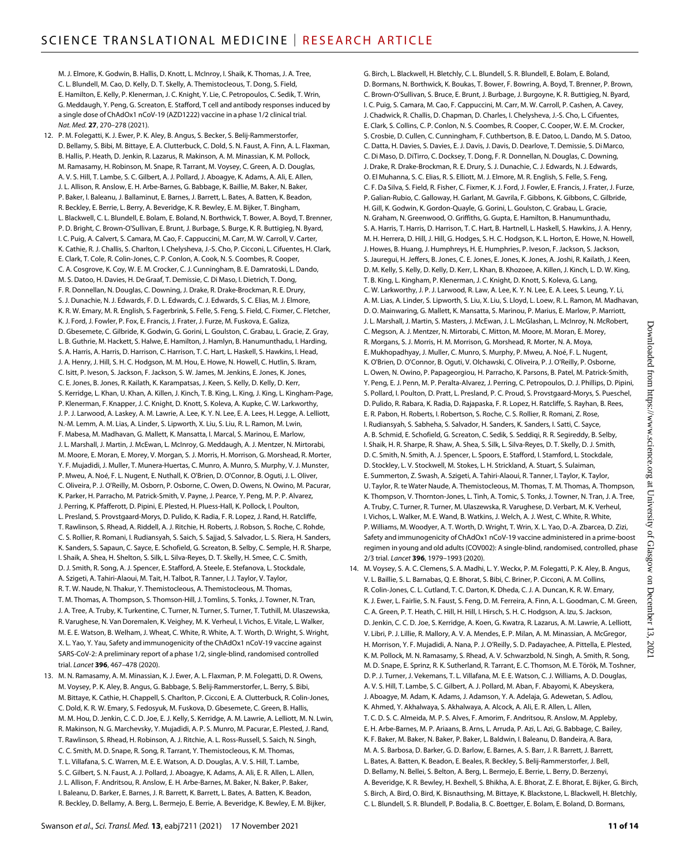M. J. Elmore, K. Godwin, B. Hallis, D. Knott, L. McInroy, I. Shaik, K. Thomas, J. A. Tree, C. L. Blundell, M. Cao, D. Kelly, D. T. Skelly, A. Themistocleous, T. Dong, S. Field, E. Hamilton, E. Kelly, P. Klenerman, J. C. Knight, Y. Lie, C. Petropoulos, C. Sedik, T. Wrin, G. Meddaugh, Y. Peng, G. Screaton, E. Stafford, T cell and antibody responses induced by a single dose of ChAdOx1 nCoV-19 (AZD1222) vaccine in a phase 1/2 clinical trial. *Nat. Med.* **27**, 270–278 (2021).

- 12. P. M. Folegatti, K. J. Ewer, P. K. Aley, B. Angus, S. Becker, S. Belij-Rammerstorfer, D. Bellamy, S. Bibi, M. Bittaye, E. A. Clutterbuck, C. Dold, S. N. Faust, A. Finn, A. L. Flaxman, B. Hallis, P. Heath, D. Jenkin, R. Lazarus, R. Makinson, A. M. Minassian, K. M. Pollock, M. Ramasamy, H. Robinson, M. Snape, R. Tarrant, M. Voysey, C. Green, A. D. Douglas, A. V. S. Hill, T. Lambe, S. C. Gilbert, A. J. Pollard, J. Aboagye, K. Adams, A. Ali, E. Allen, J. L. Allison, R. Anslow, E. H. Arbe-Barnes, G. Babbage, K. Baillie, M. Baker, N. Baker, P. Baker, I. Baleanu, J. Ballaminut, E. Barnes, J. Barrett, L. Bates, A. Batten, K. Beadon, R. Beckley, E. Berrie, L. Berry, A. Beveridge, K. R. Bewley, E. M. Bijker, T. Bingham, L. Blackwell, C. L. Blundell, E. Bolam, E. Boland, N. Borthwick, T. Bower, A. Boyd, T. Brenner, P. D. Bright, C. Brown-O'Sullivan, E. Brunt, J. Burbage, S. Burge, K. R. Buttigieg, N. Byard, I. C. Puig, A. Calvert, S. Camara, M. Cao, F. Cappuccini, M. Carr, M. W. Carroll, V. Carter, K. Cathie, R. J. Challis, S. Charlton, I. Chelysheva, J.-S. Cho, P. Cicconi, L. Cifuentes, H. Clark, E. Clark, T. Cole, R. Colin-Jones, C. P. Conlon, A. Cook, N. S. Coombes, R. Cooper, C. A. Cosgrove, K. Coy, W. E. M. Crocker, C. J. Cunningham, B. E. Damratoski, L. Dando, M. S. Datoo, H. Davies, H. De Graaf, T. Demissie, C. Di Maso, I. Dietrich, T. Dong, F. R. Donnellan, N. Douglas, C. Downing, J. Drake, R. Drake-Brockman, R. E. Drury, S. J. Dunachie, N. J. Edwards, F. D. L. Edwards, C. J. Edwards, S. C. Elias, M. J. Elmore, K. R. W. Emary, M. R. English, S. Fagerbrink, S. Felle, S. Feng, S. Field, C. Fixmer, C. Fletcher, K. J. Ford, J. Fowler, P. Fox, E. Francis, J. Frater, J. Furze, M. Fuskova, E. Galiza, D. Gbesemete, C. Gilbride, K. Godwin, G. Gorini, L. Goulston, C. Grabau, L. Gracie, Z. Gray, L. B. Guthrie, M. Hackett, S. Halwe, E. Hamilton, J. Hamlyn, B. Hanumunthadu, I. Harding, S. A. Harris, A. Harris, D. Harrison, C. Harrison, T. C. Hart, L. Haskell, S. Hawkins, I. Head, J. A. Henry, J. Hill, S. H. C. Hodgson, M. M. Hou, E. Howe, N. Howell, C. Hutlin, S. Ikram, C. Isitt, P. Iveson, S. Jackson, F. Jackson, S. W. James, M. Jenkins, E. Jones, K. Jones, C. E. Jones, B. Jones, R. Kailath, K. Karampatsas, J. Keen, S. Kelly, D. Kelly, D. Kerr, S. Kerridge, L. Khan, U. Khan, A. Killen, J. Kinch, T. B. King, L. King, J. King, L. Kingham-Page, P. Klenerman, F. Knapper, J. C. Knight, D. Knott, S. Koleva, A. Kupke, C. W. Larkworthy, J. P. J. Larwood, A. Laskey, A. M. Lawrie, A. Lee, K. Y. N. Lee, E. A. Lees, H. Legge, A. Lelliott, N.-M. Lemm, A. M. Lias, A. Linder, S. Lipworth, X. Liu, S. Liu, R. L. Ramon, M. Lwin, F. Mabesa, M. Madhavan, G. Mallett, K. Mansatta, I. Marcal, S. Marinou, E. Marlow, J. L. Marshall, J. Martin, J. McEwan, L. McInroy, G. Meddaugh, A. J. Mentzer, N. Mirtorabi, M. Moore, E. Moran, E. Morey, V. Morgan, S. J. Morris, H. Morrison, G. Morshead, R. Morter, Y. F. Mujadidi, J. Muller, T. Munera-Huertas, C. Munro, A. Munro, S. Murphy, V. J. Munster, P. Mweu, A. Noé, F. L. Nugent, E. Nuthall, K. O'Brien, D. O'Connor, B. Oguti, J. L. Oliver, C. Oliveira, P. J. O'Reilly, M. Osborn, P. Osborne, C. Owen, D. Owens, N. Owino, M. Pacurar, K. Parker, H. Parracho, M. Patrick-Smith, V. Payne, J. Pearce, Y. Peng, M. P. P. Alvarez, J. Perring, K. Pfafferott, D. Pipini, E. Plested, H. Pluess-Hall, K. Pollock, I. Poulton, L. Presland, S. Provstgaard-Morys, D. Pulido, K. Radia, F. R. Lopez, J. Rand, H. Ratcliffe, T. Rawlinson, S. Rhead, A. Riddell, A. J. Ritchie, H. Roberts, J. Robson, S. Roche, C. Rohde, C. S. Rollier, R. Romani, I. Rudiansyah, S. Saich, S. Sajjad, S. Salvador, L. S. Riera, H. Sanders, K. Sanders, S. Sapaun, C. Sayce, E. Schofield, G. Screaton, B. Selby, C. Semple, H. R. Sharpe, I. Shaik, A. Shea, H. Shelton, S. Silk, L. Silva-Reyes, D. T. Skelly, H. Smee, C. C. Smith, D. J. Smith, R. Song, A. J. Spencer, E. Stafford, A. Steele, E. Stefanova, L. Stockdale, A. Szigeti, A. Tahiri-Alaoui, M. Tait, H. Talbot, R. Tanner, I. J. Taylor, V. Taylor, R. T. W. Naude, N. Thakur, Y. Themistocleous, A. Themistocleous, M. Thomas, T. M. Thomas, A. Thompson, S. Thomson-Hill, J. Tomlins, S. Tonks, J. Towner, N. Tran, J. A. Tree, A. Truby, K. Turkentine, C. Turner, N. Turner, S. Turner, T. Tuthill, M. Ulaszewska, R. Varughese, N. VanDoremalen, K. Veighey, M. K. Verheul, I. Vichos, E. Vitale, L. Walker, M. E. E. Watson, B. Welham, J. Wheat, C. White, R. White, A. T. Worth, D. Wright, S. Wright, X. L. Yao, Y. Yau, Safety and immunogenicity of the ChAdOx1 nCoV-19 vaccine against SARS-CoV-2: A preliminary report of a phase 1/2, single-blind, randomised controlled trial. *Lancet* **396**, 467–478 (2020).
- 13. M. N. Ramasamy, A. M. Minassian, K. J. Ewer, A. L. Flaxman, P. M. Folegatti, D. R. Owens, M. Voysey, P. K. Aley, B. Angus, G. Babbage, S. Belij-Rammerstorfer, L. Berry, S. Bibi, M. Bittaye, K. Cathie, H. Chappell, S. Charlton, P. Cicconi, E. A. Clutterbuck, R. Colin-Jones, C. Dold, K. R. W. Emary, S. Fedosyuk, M. Fuskova, D. Gbesemete, C. Green, B. Hallis, M. M. Hou, D. Jenkin, C. C. D. Joe, E. J. Kelly, S. Kerridge, A. M. Lawrie, A. Lelliott, M. N. Lwin, R. Makinson, N. G. Marchevsky, Y. Mujadidi, A. P. S. Munro, M. Pacurar, E. Plested, J. Rand, T. Rawlinson, S. Rhead, H. Robinson, A. J. Ritchie, A. L. Ross-Russell, S. Saich, N. Singh, C. C. Smith, M. D. Snape, R. Song, R. Tarrant, Y. Themistocleous, K. M. Thomas, T. L. Villafana, S. C. Warren, M. E. E. Watson, A. D. Douglas, A. V. S. Hill, T. Lambe, S. C. Gilbert, S. N. Faust, A. J. Pollard, J. Aboagye, K. Adams, A. Ali, E. R. Allen, L. Allen, J. L. Allison, F. Andritsou, R. Anslow, E. H. Arbe-Barnes, M. Baker, N. Baker, P. Baker, I. Baleanu, D. Barker, E. Barnes, J. R. Barrett, K. Barrett, L. Bates, A. Batten, K. Beadon, R. Beckley, D. Bellamy, A. Berg, L. Bermejo, E. Berrie, A. Beveridge, K. Bewley, E. M. Bijker,

G. Birch, L. Blackwell, H. Bletchly, C. L. Blundell, S. R. Blundell, E. Bolam, E. Boland, D. Bormans, N. Borthwick, K. Boukas, T. Bower, F. Bowring, A. Boyd, T. Brenner, P. Brown, C. Brown-O'Sullivan, S. Bruce, E. Brunt, J. Burbage, J. Burgoyne, K. R. Buttigieg, N. Byard, I. C. Puig, S. Camara, M. Cao, F. Cappuccini, M. Carr, M. W. Carroll, P. Cashen, A. Cavey, J. Chadwick, R. Challis, D. Chapman, D. Charles, I. Chelysheva, J.-S. Cho, L. Cifuentes, E. Clark, S. Collins, C. P. Conlon, N. S. Coombes, R. Cooper, C. Cooper, W. E. M. Crocker, S. Crosbie, D. Cullen, C. Cunningham, F. Cuthbertson, B. E. Datoo, L. Dando, M. S. Datoo, C. Datta, H. Davies, S. Davies, E. J. Davis, J. Davis, D. Dearlove, T. Demissie, S. Di Marco, C. Di Maso, D. DiTirro, C. Docksey, T. Dong, F. R. Donnellan, N. Douglas, C. Downing, J. Drake, R. Drake-Brockman, R. E. Drury, S. J. Dunachie, C. J. Edwards, N. J. Edwards, O. El Muhanna, S. C. Elias, R. S. Elliott, M. J. Elmore, M. R. English, S. Felle, S. Feng, C. F. Da Silva, S. Field, R. Fisher, C. Fixmer, K. J. Ford, J. Fowler, E. Francis, J. Frater, J. Furze, P. Galian-Rubio, C. Galloway, H. Garlant, M. Gavrila, F. Gibbons, K. Gibbons, C. Gilbride, H. Gill, K. Godwin, K. Gordon-Quayle, G. Gorini, L. Goulston, C. Grabau, L. Gracie, N. Graham, N. Greenwood, O. Griffiths, G. Gupta, E. Hamilton, B. Hanumunthadu, S. A. Harris, T. Harris, D. Harrison, T. C. Hart, B. Hartnell, L. Haskell, S. Hawkins, J. A. Henry, M. H. Herrera, D. Hill, J. Hill, G. Hodges, S. H. C. Hodgson, K. L. Horton, E. Howe, N. Howell, J. Howes, B. Huang, J. Humphreys, H. E. Humphries, P. Iveson, F. Jackson, S. Jackson, S. Jauregui, H. Jeffers, B. Jones, C. E. Jones, E. Jones, K. Jones, A. Joshi, R. Kailath, J. Keen, D. M. Kelly, S. Kelly, D. Kelly, D. Kerr, L. Khan, B. Khozoee, A. Killen, J. Kinch, L. D. W. King, T. B. King, L. Kingham, P. Klenerman, J. C. Knight, D. Knott, S. Koleva, G. Lang, C. W. Larkworthy, J. P. J. Larwood, R. Law, A. Lee, K. Y. N. Lee, E. A. Lees, S. Leung, Y. Li, A. M. Lias, A. Linder, S. Lipworth, S. Liu, X. Liu, S. Lloyd, L. Loew, R. L. Ramon, M. Madhavan, D. O. Mainwaring, G. Mallett, K. Mansatta, S. Marinou, P. Marius, E. Marlow, P. Marriott, J. L. Marshall, J. Martin, S. Masters, J. McEwan, J. L. McGlashan, L. McInroy, N. McRobert, C. Megson, A. J. Mentzer, N. Mirtorabi, C. Mitton, M. Moore, M. Moran, E. Morey, R. Morgans, S. J. Morris, H. M. Morrison, G. Morshead, R. Morter, N. A. Moya, E. Mukhopadhyay, J. Muller, C. Munro, S. Murphy, P. Mweu, A. Noé, F. L. Nugent, K. O'Brien, D. O'Connor, B. Oguti, V. Olchawski, C. Oliveira, P. J. O'Reilly, P. Osborne, L. Owen, N. Owino, P. Papageorgiou, H. Parracho, K. Parsons, B. Patel, M. Patrick-Smith, Y. Peng, E. J. Penn, M. P. Peralta-Alvarez, J. Perring, C. Petropoulos, D. J. Phillips, D. Pipini, S. Pollard, I. Poulton, D. Pratt, L. Presland, P. C. Proud, S. Provstgaard-Morys, S. Pueschel, D. Pulido, R. Rabara, K. Radia, D. Rajapaska, F. R. Lopez, H. Ratcliffe, S. Rayhan, B. Rees, E. R. Pabon, H. Roberts, I. Robertson, S. Roche, C. S. Rollier, R. Romani, Z. Rose, I. Rudiansyah, S. Sabheha, S. Salvador, H. Sanders, K. Sanders, I. Satti, C. Sayce, A. B. Schmid, E. Schofield, G. Screaton, C. Sedik, S. Seddiqi, R. R. Segireddy, B. Selby, I. Shaik, H. R. Sharpe, R. Shaw, A. Shea, S. Silk, L. Silva-Reyes, D. T. Skelly, D. J. Smith, D. C. Smith, N. Smith, A. J. Spencer, L. Spoors, E. Stafford, I. Stamford, L. Stockdale, D. Stockley, L. V. Stockwell, M. Stokes, L. H. Strickland, A. Stuart, S. Sulaiman, E. Summerton, Z. Swash, A. Szigeti, A. Tahiri-Alaoui, R. Tanner, I. Taylor, K. Taylor, U. Taylor, R. te Water Naude, A. Themistocleous, M. Thomas, T. M. Thomas, A. Thompson, K. Thompson, V. Thornton-Jones, L. Tinh, A. Tomic, S. Tonks, J. Towner, N. Tran, J. A. Tree, A. Truby, C. Turner, R. Turner, M. Ulaszewska, R. Varughese, D. Verbart, M. K. Verheul, I. Vichos, L. Walker, M. E. Wand, B. Watkins, J. Welch, A. J. West, C. White, R. White, P. Williams, M. Woodyer, A. T. Worth, D. Wright, T. Wrin, X. L. Yao, D.-A. Zbarcea, D. Zizi, Safety and immunogenicity of ChAdOx1 nCoV-19 vaccine administered in a prime-boost regimen in young and old adults (COV002): A single-blind, randomised, controlled, phase 2/3 trial. *Lancet* **396**, 1979–1993 (2020).

14. M. Voysey, S. A. C. Clemens, S. A. Madhi, L. Y. Weckx, P. M. Folegatti, P. K. Aley, B. Angus, V. L. Baillie, S. L. Barnabas, Q. E. Bhorat, S. Bibi, C. Briner, P. Cicconi, A. M. Collins, R. Colin-Jones, C. L. Cutland, T. C. Darton, K. Dheda, C. J. A. Duncan, K. R. W. Emary, K. J. Ewer, L. Fairlie, S. N. Faust, S. Feng, D. M. Ferreira, A. Finn, A. L. Goodman, C. M. Green, C. A. Green, P. T. Heath, C. Hill, H. Hill, I. Hirsch, S. H. C. Hodgson, A. Izu, S. Jackson, D. Jenkin, C. C. D. Joe, S. Kerridge, A. Koen, G. Kwatra, R. Lazarus, A. M. Lawrie, A. Lelliott, V. Libri, P. J. Lillie, R. Mallory, A. V. A. Mendes, E. P. Milan, A. M. Minassian, A. McGregor, H. Morrison, Y. F. Mujadidi, A. Nana, P. J. O'Reilly, S. D. Padayachee, A. Pittella, E. Plested, K. M. Pollock, M. N. Ramasamy, S. Rhead, A. V. Schwarzbold, N. Singh, A. Smith, R. Song, M. D. Snape, E. Sprinz, R. K. Sutherland, R. Tarrant, E. C. Thomson, M. E. Török, M. Toshner, D. P. J. Turner, J. Vekemans, T. L. Villafana, M. E. E. Watson, C. J. Williams, A. D. Douglas, A. V. S. Hill, T. Lambe, S. C. Gilbert, A. J. Pollard, M. Aban, F. Abayomi, K. Abeyskera, J. Aboagye, M. Adam, K. Adams, J. Adamson, Y. A. Adelaja, G. Adewetan, S. Adlou, K. Ahmed, Y. Akhalwaya, S. Akhalwaya, A. Alcock, A. Ali, E. R. Allen, L. Allen, T. C. D. S. C. Almeida, M. P. S. Alves, F. Amorim, F. Andritsou, R. Anslow, M. Appleby, E. H. Arbe-Barnes, M. P. Ariaans, B. Arns, L. Arruda, P. Azi, L. Azi, G. Babbage, C. Bailey, K. F. Baker, M. Baker, N. Baker, P. Baker, L. Baldwin, I. Baleanu, D. Bandeira, A. Bara, M. A. S. Barbosa, D. Barker, G. D. Barlow, E. Barnes, A. S. Barr, J. R. Barrett, J. Barrett, L. Bates, A. Batten, K. Beadon, E. Beales, R. Beckley, S. Belij-Rammerstorfer, J. Bell, D. Bellamy, N. Bellei, S. Belton, A. Berg, L. Bermejo, E. Berrie, L. Berry, D. Berzenyi, A. Beveridge, K. R. Bewley, H. Bexhell, S. Bhikha, A. E. Bhorat, Z. E. Bhorat, E. Bijker, G. Birch, S. Birch, A. Bird, O. Bird, K. Bisnauthsing, M. Bittaye, K. Blackstone, L. Blackwell, H. Bletchly, C. L. Blundell, S. R. Blundell, P. Bodalia, B. C. Boettger, E. Bolam, E. Boland, D. Bormans,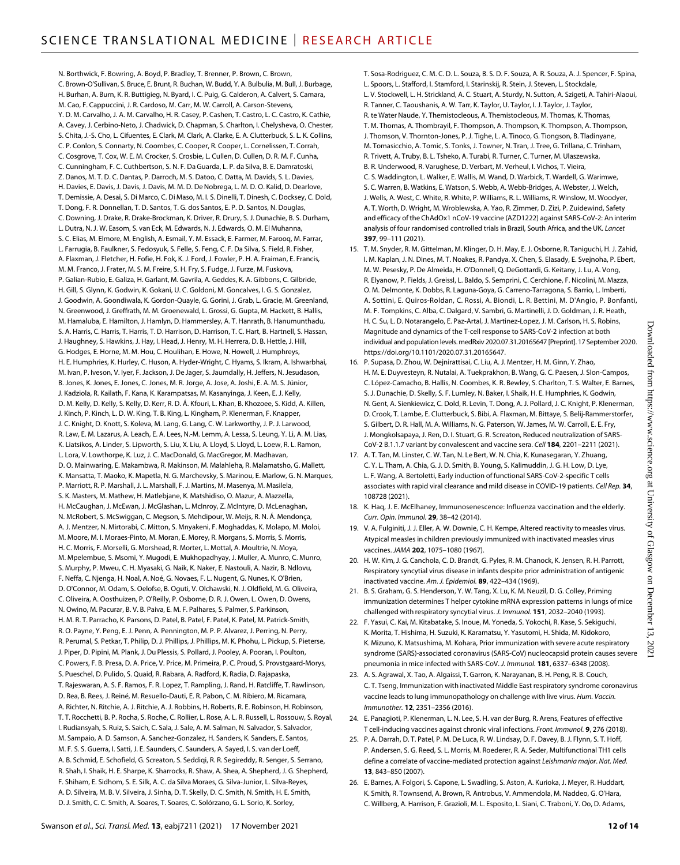N. Borthwick, F. Bowring, A. Boyd, P. Bradley, T. Brenner, P. Brown, C. Brown, C. Brown-O'Sullivan, S. Bruce, E. Brunt, R. Buchan, W. Budd, Y. A. Bulbulia, M. Bull, J. Burbage, H. Burhan, A. Burn, K. R. Buttigieg, N. Byard, I. C. Puig, G. Calderon, A. Calvert, S. Camara, M. Cao, F. Cappuccini, J. R. Cardoso, M. Carr, M. W. Carroll, A. Carson-Stevens, Y. D. M. Carvalho, J. A. M. Carvalho, H. R. Casey, P. Cashen, T. Castro, L. C. Castro, K. Cathie, A. Cavey, J. Cerbino-Neto, J. Chadwick, D. Chapman, S. Charlton, I. Chelysheva, O. Chester, S. Chita, J.-S. Cho, L. Cifuentes, E. Clark, M. Clark, A. Clarke, E. A. Clutterbuck, S. L. K. Collins, C. P. Conlon, S. Connarty, N. Coombes, C. Cooper, R. Cooper, L. Cornelissen, T. Corrah, C. Cosgrove, T. Cox, W. E. M. Crocker, S. Crosbie, L. Cullen, D. Cullen, D. R. M. F. Cunha, C. Cunningham, F. C. Cuthbertson, S. N. F. Da Guarda, L. P. da Silva, B. E. Damratoski, Z. Danos, M. T. D. C. Dantas, P. Darroch, M. S. Datoo, C. Datta, M. Davids, S. L. Davies, H. Davies, E. Davis, J. Davis, J. Davis, M. M. D. De Nobrega, L. M. D. O. Kalid, D. Dearlove, T. Demissie, A. Desai, S. Di Marco, C. Di Maso, M. I. S. Dinelli, T. Dinesh, C. Docksey, C. Dold, T. Dong, F. R. Donnellan, T. D. Santos, T. G. dos Santos, E. P. D. Santos, N. Douglas, C. Downing, J. Drake, R. Drake-Brockman, K. Driver, R. Drury, S. J. Dunachie, B. S. Durham, L. Dutra, N. J. W. Easom, S. van Eck, M. Edwards, N. J. Edwards, O. M. El Muhanna, S. C. Elias, M. Elmore, M. English, A. Esmail, Y. M. Essack, E. Farmer, M. Farooq, M. Farrar, L. Farrugia, B. Faulkner, S. Fedosyuk, S. Felle, S. Feng, C. F. Da Silva, S. Field, R. Fisher, A. Flaxman, J. Fletcher, H. Fofie, H. Fok, K. J. Ford, J. Fowler, P. H. A. Fraiman, E. Francis, M. M. Franco, J. Frater, M. S. M. Freire, S. H. Fry, S. Fudge, J. Furze, M. Fuskova, P. Galian-Rubio, E. Galiza, H. Garlant, M. Gavrila, A. Geddes, K. A. Gibbons, C. Gilbride, H. Gill, S. Glynn, K. Godwin, K. Gokani, U. C. Goldoni, M. Goncalves, I. G. S. Gonzalez, J. Goodwin, A. Goondiwala, K. Gordon-Quayle, G. Gorini, J. Grab, L. Gracie, M. Greenland, N. Greenwood, J. Greffrath, M. M. Groenewald, L. Grossi, G. Gupta, M. Hackett, B. Hallis, M. Hamaluba, E. Hamilton, J. Hamlyn, D. Hammersley, A. T. Hanrath, B. Hanumunthadu, S. A. Harris, C. Harris, T. Harris, T. D. Harrison, D. Harrison, T. C. Hart, B. Hartnell, S. Hassan, J. Haughney, S. Hawkins, J. Hay, I. Head, J. Henry, M. H. Herrera, D. B. Hettle, J. Hill, G. Hodges, E. Horne, M. M. Hou, C. Houlihan, E. Howe, N. Howell, J. Humphreys, H. E. Humphries, K. Hurley, C. Huson, A. Hyder-Wright, C. Hyams, S. Ikram, A. Ishwarbhai, M. Ivan, P. Iveson, V. Iyer, F. Jackson, J. De Jager, S. Jaumdally, H. Jeffers, N. Jesudason, B. Jones, K. Jones, E. Jones, C. Jones, M. R. Jorge, A. Jose, A. Joshi, E. A. M. S. Júnior, J. Kadziola, R. Kailath, F. Kana, K. Karampatsas, M. Kasanyinga, J. Keen, E. J. Kelly, D. M. Kelly, D. Kelly, S. Kelly, D. Kerr, R. D. Á. Kfouri, L. Khan, B. Khozoee, S. Kidd, A. Killen, J. Kinch, P. Kinch, L. D. W. King, T. B. King, L. Kingham, P. Klenerman, F. Knapper, J. C. Knight, D. Knott, S. Koleva, M. Lang, G. Lang, C. W. Larkworthy, J. P. J. Larwood, R. Law, E. M. Lazarus, A. Leach, E. A. Lees, N.-M. Lemm, A. Lessa, S. Leung, Y. Li, A. M. Lias, K. Liatsikos, A. Linder, S. Lipworth, S. Liu, X. Liu, A. Lloyd, S. Lloyd, L. Loew, R. L. Ramon, L. Lora, V. Lowthorpe, K. Luz, J. C. MacDonald, G. MacGregor, M. Madhavan, D. O. Mainwaring, E. Makambwa, R. Makinson, M. Malahleha, R. Malamatsho, G. Mallett, K. Mansatta, T. Maoko, K. Mapetla, N. G. Marchevsky, S. Marinou, E. Marlow, G. N. Marques, P. Marriott, R. P. Marshall, J. L. Marshall, F. J. Martins, M. Masenya, M. Masilela, S. K. Masters, M. Mathew, H. Matlebjane, K. Matshidiso, O. Mazur, A. Mazzella, H. McCaughan, J. McEwan, J. McGlashan, L. McInroy, Z. McIntyre, D. McLenaghan, N. McRobert, S. McSwiggan, C. Megson, S. Mehdipour, W. Meijs, R. N. Á. Mendonça, A. J. Mentzer, N. Mirtorabi, C. Mitton, S. Mnyakeni, F. Moghaddas, K. Molapo, M. Moloi, M. Moore, M. I. Moraes-Pinto, M. Moran, E. Morey, R. Morgans, S. Morris, S. Morris, H. C. Morris, F. Morselli, G. Morshead, R. Morter, L. Mottal, A. Moultrie, N. Moya, M. Mpelembue, S. Msomi, Y. Mugodi, E. Mukhopadhyay, J. Muller, A. Munro, C. Munro, S. Murphy, P. Mweu, C. H. Myasaki, G. Naik, K. Naker, E. Nastouli, A. Nazir, B. Ndlovu, F. Neffa, C. Njenga, H. Noal, A. Noé, G. Novaes, F. L. Nugent, G. Nunes, K. O'Brien, D. O'Connor, M. Odam, S. Oelofse, B. Oguti, V. Olchawski, N. J. Oldfield, M. G. Oliveira, C. Oliveira, A. Oosthuizen, P. O'Reilly, P. Osborne, D. R. J. Owen, L. Owen, D. Owens, N. Owino, M. Pacurar, B. V. B. Paiva, E. M. F. Palhares, S. Palmer, S. Parkinson, H. M. R. T. Parracho, K. Parsons, D. Patel, B. Patel, F. Patel, K. Patel, M. Patrick-Smith, R. O. Payne, Y. Peng, E. J. Penn, A. Pennington, M. P. P. Alvarez, J. Perring, N. Perry, R. Perumal, S. Petkar, T. Philip, D. J. Phillips, J. Phillips, M. K. Phohu, L. Pickup, S. Pieterse, J. Piper, D. Pipini, M. Plank, J. Du Plessis, S. Pollard, J. Pooley, A. Pooran, I. Poulton, C. Powers, F. B. Presa, D. A. Price, V. Price, M. Primeira, P. C. Proud, S. Provstgaard-Morys, S. Pueschel, D. Pulido, S. Quaid, R. Rabara, A. Radford, K. Radia, D. Rajapaska, T. Rajeswaran, A. S. F. Ramos, F. R. Lopez, T. Rampling, J. Rand, H. Ratcliffe, T. Rawlinson, D. Rea, B. Rees, J. Reiné, M. Resuello-Dauti, E. R. Pabon, C. M. Ribiero, M. Ricamara, A. Richter, N. Ritchie, A. J. Ritchie, A. J. Robbins, H. Roberts, R. E. Robinson, H. Robinson, T. T. Rocchetti, B. P. Rocha, S. Roche, C. Rollier, L. Rose, A. L. R. Russell, L. Rossouw, S. Royal, I. Rudiansyah, S. Ruiz, S. Saich, C. Sala, J. Sale, A. M. Salman, N. Salvador, S. Salvador, M. Sampaio, A. D. Samson, A. Sanchez-Gonzalez, H. Sanders, K. Sanders, E. Santos, M. F. S. S. Guerra, I. Satti, J. E. Saunders, C. Saunders, A. Sayed, I. S. van der Loeff, A. B. Schmid, E. Schofield, G. Screaton, S. Seddiqi, R. R. Segireddy, R. Senger, S. Serrano, R. Shah, I. Shaik, H. E. Sharpe, K. Sharrocks, R. Shaw, A. Shea, A. Shepherd, J. G. Shepherd, F. Shiham, E. Sidhom, S. E. Silk, A. C. da Silva Moraes, G. Silva-Junior, L. Silva-Reyes, A. D. Silveira, M. B. V. Silveira, J. Sinha, D. T. Skelly, D. C. Smith, N. Smith, H. E. Smith, D. J. Smith, C. C. Smith, A. Soares, T. Soares, C. Solórzano, G. L. Sorio, K. Sorley,

T. Sosa-Rodriguez, C. M. C. D. L. Souza, B. S. D. F. Souza, A. R. Souza, A. J. Spencer, F. Spina, L. Spoors, L. Stafford, I. Stamford, I. Starinskij, R. Stein, J. Steven, L. Stockdale, L. V. Stockwell, L. H. Strickland, A. C. Stuart, A. Sturdy, N. Sutton, A. Szigeti, A. Tahiri-Alaoui, R. Tanner, C. Taoushanis, A. W. Tarr, K. Taylor, U. Taylor, I. J. Taylor, J. Taylor, R. te Water Naude, Y. Themistocleous, A. Themistocleous, M. Thomas, K. Thomas, T. M. Thomas, A. Thombrayil, F. Thompson, A. Thompson, K. Thompson, A. Thompson, J. Thomson, V. Thornton-Jones, P. J. Tighe, L. A. Tinoco, G. Tiongson, B. Tladinyane, M. Tomasicchio, A. Tomic, S. Tonks, J. Towner, N. Tran, J. Tree, G. Trillana, C. Trinham, R. Trivett, A. Truby, B. L. Tsheko, A. Turabi, R. Turner, C. Turner, M. Ulaszewska, B. R. Underwood, R. Varughese, D. Verbart, M. Verheul, I. Vichos, T. Vieira, C. S. Waddington, L. Walker, E. Wallis, M. Wand, D. Warbick, T. Wardell, G. Warimwe, S. C. Warren, B. Watkins, E. Watson, S. Webb, A. Webb-Bridges, A. Webster, J. Welch, J. Wells, A. West, C. White, R. White, P. Williams, R. L. Williams, R. Winslow, M. Woodyer, A. T. Worth, D. Wright, M. Wroblewska, A. Yao, R. Zimmer, D. Zizi, P. Zuidewind, Safety and efficacy of the ChAdOx1 nCoV-19 vaccine (AZD1222) against SARS-CoV-2: An interim analysis of four randomised controlled trials in Brazil, South Africa, and the UK. *Lancet* **397**, 99–111 (2021).

- 15. T. M. Snyder, R. M. Gittelman, M. Klinger, D. H. May, E. J. Osborne, R. Taniguchi, H. J. Zahid, I. M. Kaplan, J. N. Dines, M. T. Noakes, R. Pandya, X. Chen, S. Elasady, E. Svejnoha, P. Ebert, M. W. Pesesky, P. De Almeida, H. O'Donnell, Q. DeGottardi, G. Keitany, J. Lu, A. Vong, R. Elyanow, P. Fields, J. Greissl, L. Baldo, S. Semprini, C. Cerchione, F. Nicolini, M. Mazza, O. M. Delmonte, K. Dobbs, R. Laguna-Goya, G. Carreno-Tarragona, S. Barrio, L. Imberti, A. Sottini, E. Quiros-Roldan, C. Rossi, A. Biondi, L. R. Bettini, M. D'Angio, P. Bonfanti, M. F. Tompkins, C. Alba, C. Dalgard, V. Sambri, G. Martinelli, J. D. Goldman, J. R. Heath, H. C. Su, L. D. Notarangelo, E. Paz-Artal, J. Martinez-Lopez, J. M. Carlson, H. S. Robins, Magnitude and dynamics of the T-cell response to SARS-CoV-2 infection at both individual and population levels. medRxiv 2020.07.31.20165647 [Preprint]. 17 September 2020. [https://doi.org/10.1101/2020.07.31.20165647.](https://doi.org/10.1101/2020.07.31.20165647)
- 16. P. Supasa, D. Zhou, W. Dejnirattisai, C. Liu, A. J. Mentzer, H. M. Ginn, Y. Zhao, H. M. E. Duyvesteyn, R. Nutalai, A. Tuekprakhon, B. Wang, G. C. Paesen, J. Slon-Campos, C. López-Camacho, B. Hallis, N. Coombes, K. R. Bewley, S. Charlton, T. S. Walter, E. Barnes, S. J. Dunachie, D. Skelly, S. F. Lumley, N. Baker, I. Shaik, H. E. Humphries, K. Godwin, N. Gent, A. Sienkiewicz, C. Dold, R. Levin, T. Dong, A. J. Pollard, J. C. Knight, P. Klenerman, D. Crook, T. Lambe, E. Clutterbuck, S. Bibi, A. Flaxman, M. Bittaye, S. Belij-Rammerstorfer, S. Gilbert, D. R. Hall, M. A. Williams, N. G. Paterson, W. James, M. W. Carroll, E. E. Fry, J. Mongkolsapaya, J. Ren, D. I. Stuart, G. R. Screaton, Reduced neutralization of SARS-CoV-2 B.1.1.7 variant by convalescent and vaccine sera. *Cell* **184**, 2201–2211 (2021).
- 17. A. T. Tan, M. Linster, C. W. Tan, N. Le Bert, W. N. Chia, K. Kunasegaran, Y. Zhuang, C. Y. L. Tham, A. Chia, G. J. D. Smith, B. Young, S. Kalimuddin, J. G. H. Low, D. Lye, L. F. Wang, A. Bertoletti, Early induction of functional SARS-CoV-2-specific T cells associates with rapid viral clearance and mild disease in COVID-19 patients. *Cell Rep.* **34**, 108728 (2021).
- 18. K. Haq, J. E. McElhaney, Immunosenescence: Influenza vaccination and the elderly. *Curr. Opin. Immunol.* **29**, 38–42 (2014).
- 19. V. A. Fulginiti, J. J. Eller, A. W. Downie, C. H. Kempe, Altered reactivity to measles virus. Atypical measles in children previously immunized with inactivated measles virus vaccines. *JAMA* **202**, 1075–1080 (1967).
- 20. H. W. Kim, J. G. Canchola, C. D. Brandt, G. Pyles, R. M. Chanock, K. Jensen, R. H. Parrott, Respiratory syncytial virus disease in infants despite prior administration of antigenic inactivated vaccine. *Am. J. Epidemiol.* **89**, 422–434 (1969).
- 21. B. S. Graham, G. S. Henderson, Y. W. Tang, X. Lu, K. M. Neuzil, D. G. Colley, Priming immunization determines T helper cytokine mRNA expression patterns in lungs of mice challenged with respiratory syncytial virus. *J. Immunol.* **151**, 2032–2040 (1993).
- 22. F. Yasui, C. Kai, M. Kitabatake, S. Inoue, M. Yoneda, S. Yokochi, R. Kase, S. Sekiguchi, K. Morita, T. Hishima, H. Suzuki, K. Karamatsu, Y. Yasutomi, H. Shida, M. Kidokoro, K. Mizuno, K. Matsushima, M. Kohara, Prior immunization with severe acute respiratory syndrome (SARS)-associated coronavirus (SARS-CoV) nucleocapsid protein causes severe pneumonia in mice infected with SARS-CoV. *J. Immunol.* **181**, 6337–6348 (2008).
- 23. A. S. Agrawal, X. Tao, A. Algaissi, T. Garron, K. Narayanan, B. H. Peng, R. B. Couch, C. T. Tseng, Immunization with inactivated Middle East respiratory syndrome coronavirus vaccine leads to lung immunopathology on challenge with live virus. *Hum. Vaccin. Immunother.* **12**, 2351–2356 (2016).
- 24. E. Panagioti, P. Klenerman, L. N. Lee, S. H. van der Burg, R. Arens, Features of effective T cell-inducing vaccines against chronic viral infections. *Front. Immunol.* **9**, 276 (2018).
- 25. P. A. Darrah, D. T. Patel, P. M. De Luca, R. W. Lindsay, D. F. Davey, B. J. Flynn, S. T. Hoff, P. Andersen, S. G. Reed, S. L. Morris, M. Roederer, R. A. Seder, Multifunctional TH1 cells define a correlate of vaccine-mediated protection against *Leishmania major*. *Nat. Med.* **13**, 843–850 (2007).
- 26. E. Barnes, A. Folgori, S. Capone, L. Swadling, S. Aston, A. Kurioka, J. Meyer, R. Huddart, K. Smith, R. Townsend, A. Brown, R. Antrobus, V. Ammendola, M. Naddeo, G. O'Hara, C. Willberg, A. Harrison, F. Grazioli, M. L. Esposito, L. Siani, C. Traboni, Y. Oo, D. Adams,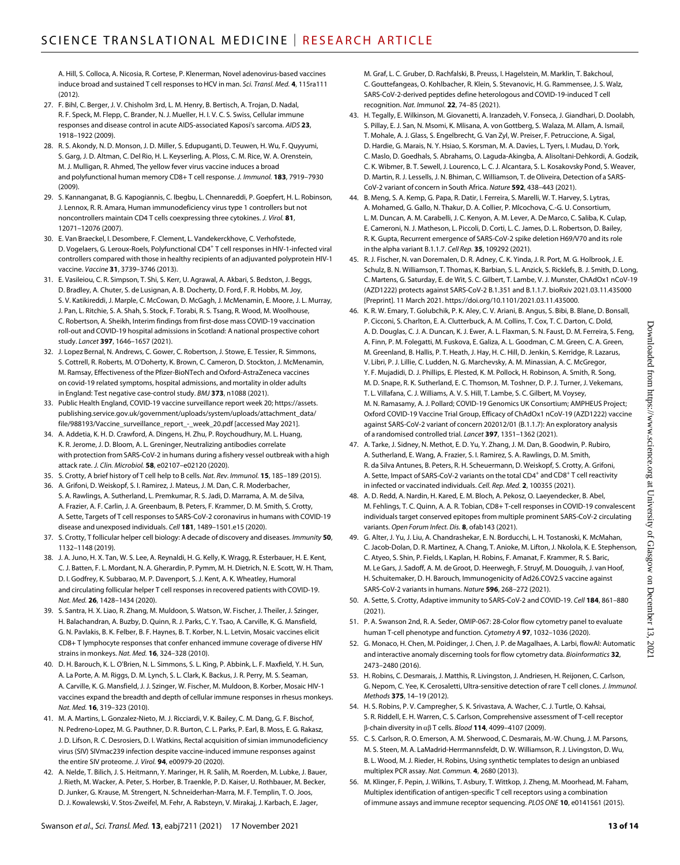A. Hill, S. Colloca, A. Nicosia, R. Cortese, P. Klenerman, Novel adenovirus-based vaccines induce broad and sustained T cell responses to HCV in man. *Sci. Transl. Med.* **4**, 115ra111 (2012).

- 27. F. Bihl, C. Berger, J. V. Chisholm 3rd, L. M. Henry, B. Bertisch, A. Trojan, D. Nadal, R. F. Speck, M. Flepp, C. Brander, N. J. Mueller, H. I. V. C. S. Swiss, Cellular immune responses and disease control in acute AIDS-associated Kaposi's sarcoma. *AIDS* **23**, 1918–1922 (2009).
- 28. R. S. Akondy, N. D. Monson, J. D. Miller, S. Edupuganti, D. Teuwen, H. Wu, F. Quyyumi, S. Garg, J. D. Altman, C. Del Rio, H. L. Keyserling, A. Ploss, C. M. Rice, W. A. Orenstein, M. J. Mulligan, R. Ahmed, The yellow fever virus vaccine induces a broad and polyfunctional human memory CD8+ T cell response. *J. Immunol.* **183**, 7919–7930 (2009).
- 29. S. Kannanganat, B. G. Kapogiannis, C. Ibegbu, L. Chennareddi, P. Goepfert, H. L. Robinson, J. Lennox, R. R. Amara, Human immunodeficiency virus type 1 controllers but not noncontrollers maintain CD4 T cells coexpressing three cytokines. *J. Virol.* **81**, 12071–12076 (2007).
- 30. E. Van Braeckel, I. Desombere, F. Clement, L. Vandekerckhove, C. Verhofstede, D. Vogelaers, G. Leroux-Roels, Polyfunctional CD4<sup>+</sup> T cell responses in HIV-1-infected viral controllers compared with those in healthy recipients of an adjuvanted polyprotein HIV-1 vaccine. *Vaccine* **31**, 3739–3746 (2013).
- 31. E. Vasileiou, C. R. Simpson, T. Shi, S. Kerr, U. Agrawal, A. Akbari, S. Bedston, J. Beggs, D. Bradley, A. Chuter, S. de Lusignan, A. B. Docherty, D. Ford, F. R. Hobbs, M. Joy, S. V. Katikireddi, J. Marple, C. McCowan, D. McGagh, J. McMenamin, E. Moore, J. L. Murray, J. Pan, L. Ritchie, S. A. Shah, S. Stock, F. Torabi, R. S. Tsang, R. Wood, M. Woolhouse, C. Robertson, A. Sheikh, Interim findings from first-dose mass COVID-19 vaccination roll-out and COVID-19 hospital admissions in Scotland: A national prospective cohort study. *Lancet* **397**, 1646–1657 (2021).
- 32. J. Lopez Bernal, N. Andrews, C. Gower, C. Robertson, J. Stowe, E. Tessier, R. Simmons, S. Cottrell, R. Roberts, M. O'Doherty, K. Brown, C. Cameron, D. Stockton, J. McMenamin, M. Ramsay, Effectiveness of the Pfizer-BioNTech andOxford-AstraZeneca vaccines on covid-19 related symptoms, hospital admissions, and mortality in older adults in England: Test negative case-control study. *BMJ* **373**, n1088 (2021).
- 33. Public Health England, COVID-19 vaccine surveillance report week 20; [https://assets.](https://assets.publishing.service.gov.uk/government/uploads/system/uploads/attachment_data/file/988193/Vaccine_surveillance_report_-_week_20.pdf) [publishing.service.gov.uk/government/uploads/system/uploads/attachment\\_data/](https://assets.publishing.service.gov.uk/government/uploads/system/uploads/attachment_data/file/988193/Vaccine_surveillance_report_-_week_20.pdf) [file/988193/Vaccine\\_surveillance\\_report\\_-\\_week\\_20.pdf](https://assets.publishing.service.gov.uk/government/uploads/system/uploads/attachment_data/file/988193/Vaccine_surveillance_report_-_week_20.pdf) [accessed May 2021].
- 34. A. Addetia, K. H. D. Crawford, A. Dingens, H. Zhu, P. Roychoudhury, M. L. Huang, K. R. Jerome, J. D. Bloom, A. L. Greninger, Neutralizing antibodies correlate with protection from SARS-CoV-2 in humans during a fishery vessel outbreak with a high attack rate. *J. Clin. Microbiol.* **58**, e02107–e02120 (2020).
- 35. S. Crotty, A brief history of T cell help to B cells. *Nat. Rev. Immunol.* **15**, 185–189 (2015).
- 36. A. Grifoni, D. Weiskopf, S. I. Ramirez, J. Mateus, J. M. Dan, C. R. Moderbacher, S. A. Rawlings, A. Sutherland, L. Premkumar, R. S. Jadi, D. Marrama, A. M. de Silva, A. Frazier, A. F. Carlin, J. A. Greenbaum, B. Peters, F. Krammer, D. M. Smith, S. Crotty, A. Sette, Targets of T cell responses to SARS-CoV-2 coronavirus in humans with COVID-19 disease and unexposed individuals. *Cell* **181**, 1489–1501.e15 (2020).
- 37. S. Crotty, T follicular helper cell biology: A decade of discovery and diseases. *Immunity* **50**, 1132–1148 (2019).
- 38. J. A. Juno, H. X. Tan, W. S. Lee, A. Reynaldi, H. G. Kelly, K. Wragg, R. Esterbauer, H. E. Kent, C. J. Batten, F. L. Mordant, N. A. Gherardin, P. Pymm, M. H. Dietrich, N. E. Scott, W. H. Tham, D. I. Godfrey, K. Subbarao, M. P. Davenport, S. J. Kent, A. K. Wheatley, Humoral and circulating follicular helper T cell responses in recovered patients with COVID-19. *Nat. Med.* **26**, 1428–1434 (2020).
- 39. S. Santra, H. X. Liao, R. Zhang, M. Muldoon, S. Watson, W. Fischer, J. Theiler, J. Szinger, H. Balachandran, A. Buzby, D. Quinn, R. J. Parks, C. Y. Tsao, A. Carville, K. G. Mansfield, G. N. Pavlakis, B. K. Felber, B. F. Haynes, B. T. Korber, N. L. Letvin, Mosaic vaccines elicit CD8+ T lymphocyte responses that confer enhanced immune coverage of diverse HIV strains in monkeys. *Nat. Med.* **16**, 324–328 (2010).
- 40. D. H. Barouch, K. L. O'Brien, N. L. Simmons, S. L. King, P. Abbink, L. F. Maxfield, Y. H. Sun, A. La Porte, A. M. Riggs, D. M. Lynch, S. L. Clark, K. Backus, J. R. Perry, M. S. Seaman, A. Carville, K. G. Mansfield, J. J. Szinger, W. Fischer, M. Muldoon, B. Korber, Mosaic HIV-1 vaccines expand the breadth and depth of cellular immune responses in rhesus monkeys. *Nat. Med.* **16**, 319–323 (2010).
- 41. M. A. Martins, L. Gonzalez-Nieto, M. J. Ricciardi, V. K. Bailey, C. M. Dang, G. F. Bischof, N. Pedreno-Lopez, M. G. Pauthner, D. R. Burton, C. L. Parks, P. Earl, B. Moss, E. G. Rakasz, J. D. Lifson, R. C. Desrosiers, D. I. Watkins, Rectal acquisition of simian immunodeficiency virus (SIV) SIVmac239 infection despite vaccine-induced immune responses against the entire SIV proteome. *J. Virol.* **94**, e00979-20 (2020).
- 42. A. Nelde, T. Bilich, J. S. Heitmann, Y. Maringer, H. R. Salih, M. Roerden, M. Lubke, J. Bauer, J. Rieth, M. Wacker, A. Peter, S. Horber, B. Traenkle, P. D. Kaiser, U. Rothbauer, M. Becker, D. Junker, G. Krause, M. Strengert, N. Schneiderhan-Marra, M. F. Templin, T. O. Joos, D. J. Kowalewski, V. Stos-Zweifel, M. Fehr, A. Rabsteyn, V. Mirakaj, J. Karbach, E. Jager,

M. Graf, L. C. Gruber, D. Rachfalski, B. Preuss, I. Hagelstein, M. Marklin, T. Bakchoul, C. Gouttefangeas, O. Kohlbacher, R. Klein, S. Stevanovic, H. G. Rammensee, J. S. Walz, SARS-CoV-2-derived peptides define heterologous and COVID-19-induced T cell recognition. *Nat. Immunol.* **22**, 74–85 (2021).

- 43. H. Tegally, E. Wilkinson, M. Giovanetti, A. Iranzadeh, V. Fonseca, J. Giandhari, D. Doolabh, S. Pillay, E. J. San, N. Msomi, K. Mlisana, A. von Gottberg, S. Walaza, M. Allam, A. Ismail, T. Mohale, A. J. Glass, S. Engelbrecht, G. Van Zyl, W. Preiser, F. Petruccione, A. Sigal, D. Hardie, G. Marais, N. Y. Hsiao, S. Korsman, M. A. Davies, L. Tyers, I. Mudau, D. York, C. Maslo, D. Goedhals, S. Abrahams, O. Laguda-Akingba, A. Alisoltani-Dehkordi, A. Godzik, C. K. Wibmer, B. T. Sewell, J. Lourenco, L. C. J. Alcantara, S. L. Kosakovsky Pond, S. Weaver, D. Martin, R. J. Lessells, J. N. Bhiman, C. Williamson, T. de Oliveira, Detection of a SARS-CoV-2 variant of concern in South Africa. *Nature* **592**, 438–443 (2021).
- 44. B. Meng, S. A. Kemp, G. Papa, R. Datir, I. Ferreira, S. Marelli, W. T. Harvey, S. Lytras, A. Mohamed, G. Gallo, N. Thakur, D. A. Collier, P. Mlcochova, C.-G. U. Consortium, L. M. Duncan, A. M. Carabelli, J. C. Kenyon, A. M. Lever, A. De Marco, C. Saliba, K. Culap, E. Cameroni, N. J. Matheson, L. Piccoli, D. Corti, L. C. James, D. L. Robertson, D. Bailey, R. K. Gupta, Recurrent emergence of SARS-CoV-2 spike deletion H69/V70 and its role in the alpha variant B.1.1.7. *Cell Rep.* **35**, 109292 (2021).
- 45. R. J. Fischer, N. van Doremalen, D. R. Adney, C. K. Yinda, J. R. Port, M. G. Holbrook, J. E. Schulz, B. N. Williamson, T. Thomas, K. Barbian, S. L. Anzick, S. Ricklefs, B. J. Smith, D. Long, C. Martens, G. Saturday, E. de Wit, S. C. Gilbert, T. Lambe, V. J. Munster, ChAdOx1 nCoV-19 (AZD1222) protects against SARS-CoV-2 B.1.351 and B.1.1.7. bioRxiv 2021.03.11.435000 [Preprint]. 11 March 2021. [https://doi.org/10.1101/2021.03.11.435000.](https://doi.org/10.1101/2021.03.11.435000)
- 46. K. R. W. Emary, T. Golubchik, P. K. Aley, C. V. Ariani, B. Angus, S. Bibi, B. Blane, D. Bonsall, P. Cicconi, S. Charlton, E. A. Clutterbuck, A. M. Collins, T. Cox, T. C. Darton, C. Dold, A. D. Douglas, C. J. A. Duncan, K. J. Ewer, A. L. Flaxman, S. N. Faust, D. M. Ferreira, S. Feng, A. Finn, P. M. Folegatti, M. Fuskova, E. Galiza, A. L. Goodman, C. M. Green, C. A. Green, M. Greenland, B. Hallis, P. T. Heath, J. Hay, H. C. Hill, D. Jenkin, S. Kerridge, R. Lazarus, V. Libri, P. J. Lillie, C. Ludden, N. G. Marchevsky, A. M. Minassian, A. C. McGregor, Y. F. Mujadidi, D. J. Phillips, E. Plested, K. M. Pollock, H. Robinson, A. Smith, R. Song, M. D. Snape, R. K. Sutherland, E. C. Thomson, M. Toshner, D. P. J. Turner, J. Vekemans, T. L. Villafana, C. J. Williams, A. V. S. Hill, T. Lambe, S. C. Gilbert, M. Voysey, M. N. Ramasamy, A. J. Pollard; COVID-19 Genomics UK Consortium; AMPHEUS Project; Oxford COVID-19 Vaccine Trial Group, Efficacy of ChAdOx1 nCoV-19 (AZD1222) vaccine against SARS-CoV-2 variant of concern 202012/01 (B.1.1.7): An exploratory analysis of a randomised controlled trial. *Lancet* **397**, 1351–1362 (2021).
- 47. A. Tarke, J. Sidney, N. Methot, E. D. Yu, Y. Zhang, J. M. Dan, B. Goodwin, P. Rubiro, A. Sutherland, E. Wang, A. Frazier, S. I. Ramirez, S. A. Rawlings, D. M. Smith, R. da Silva Antunes, B. Peters, R. H. Scheuermann, D. Weiskopf, S. Crotty, A. Grifoni, A. Sette, Impact of SARS-CoV-2 variants on the total CD4 $^+$  and CD8 $^+$  T cell reactivity in infected or vaccinated individuals. *Cell. Rep. Med.* **2**, 100355 (2021).
- 48. A. D. Redd, A. Nardin, H. Kared, E. M. Bloch, A. Pekosz, O. Laeyendecker, B. Abel, M. Fehlings, T. C. Quinn, A. A. R. Tobian, CD8+ T-cell responses in COVID-19 convalescent individuals target conserved epitopes from multiple prominent SARS-CoV-2 circulating variants. *Open Forum Infect. Dis.* **8**, ofab143 (2021).
- 49. G. Alter, J. Yu, J. Liu, A. Chandrashekar, E. N. Borducchi, L. H. Tostanoski, K. McMahan, C. Jacob-Dolan, D. R. Martinez, A. Chang, T. Anioke, M. Lifton, J. Nkolola, K. E. Stephenson, C. Atyeo, S. Shin, P. Fields, I. Kaplan, H. Robins, F. Amanat, F. Krammer, R. S. Baric, M. Le Gars, J. Sadoff, A. M. de Groot, D. Heerwegh, F. Struyf, M. Douoguih, J. van Hoof, H. Schuitemaker, D. H. Barouch, Immunogenicity of Ad26.COV2.S vaccine against SARS-CoV-2 variants in humans. *Nature* **596**, 268–272 (2021).
- 50. A. Sette, S. Crotty, Adaptive immunity to SARS-CoV-2 and COVID-19. *Cell* **184**, 861–880 (2021).
- 51. P. A. Swanson 2nd, R. A. Seder, OMIP-067: 28-Color flow cytometry panel to evaluate human T-cell phenotype and function. *Cytometry A* **97**, 1032–1036 (2020).
- 52. G. Monaco, H. Chen, M. Poidinger, J. Chen, J. P. de Magalhaes, A. Larbi, flowAI: Automatic and interactive anomaly discerning tools for flow cytometry data. *Bioinformatics* **32**, 2473–2480 (2016).
- 53. H. Robins, C. Desmarais, J. Matthis, R. Livingston, J. Andriesen, H. Reijonen, C. Carlson, G. Nepom, C. Yee, K. Cerosaletti, Ultra-sensitive detection of rare T cell clones. *J. Immunol. Methods* **375**, 14–19 (2012).
- 54. H. S. Robins, P. V. Campregher, S. K. Srivastava, A. Wacher, C. J. Turtle, O. Kahsai, S. R. Riddell, E. H. Warren, C. S. Carlson, Comprehensive assessment of T-cell receptor  $\beta$ -chain diversity in  $\alpha\beta$  T cells. *Blood* **114**, 4099-4107 (2009).
- 55. C. S. Carlson, R. O. Emerson, A. M. Sherwood, C. Desmarais, M.-W. Chung, J. M. Parsons, M. S. Steen, M. A. LaMadrid-Herrmannsfeldt, D. W. Williamson, R. J. Livingston, D. Wu, B. L. Wood, M. J. Rieder, H. Robins, Using synthetic templates to design an unbiased multiplex PCR assay. *Nat. Commun.* **4**, 2680 (2013).
- 56. M. Klinger, F. Pepin, J. Wilkins, T. Asbury, T. Wittkop, J. Zheng, M. Moorhead, M. Faham, Multiplex identification of antigen-specific T cell receptors using a combination of immune assays and immune receptor sequencing. *PLOS ONE* **10**, e0141561 (2015).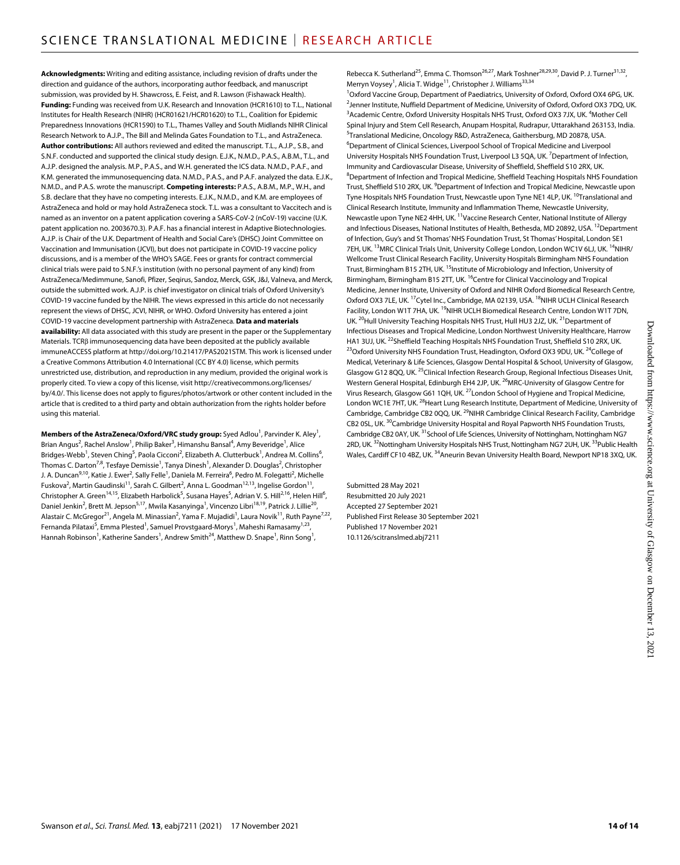**Acknowledgments:** Writing and editing assistance, including revision of drafts under the direction and guidance of the authors, incorporating author feedback, and manuscript submission, was provided by H. Shawcross, E. Feist, and R. Lawson (Fishawack Health). **Funding:** Funding was received from U.K. Research and Innovation (HCR1610) to T.L., National Institutes for Health Research (NIHR) (HCR01621/HCR01620) to T.L., Coalition for Epidemic Preparedness Innovations (HCR1590) to T.L., Thames Valley and South Midlands NIHR Clinical Research Network to A.J.P., The Bill and Melinda Gates Foundation to T.L., and AstraZeneca. **Author contributions:** All authors reviewed and edited the manuscript. T.L., A.J.P., S.B., and S.N.F. conducted and supported the clinical study design. E.J.K., N.M.D., P.A.S., A.B.M., T.L., and A.J.P. designed the analysis. M.P., P.A.S., and W.H. generated the ICS data. N.M.D., P.A.F., and K.M. generated the immunosequencing data. N.M.D., P.A.S., and P.A.F. analyzed the data. E.J.K., N.M.D., and P.A.S. wrote the manuscript. **Competing interests:** P.A.S., A.B.M., M.P., W.H., and S.B. declare that they have no competing interests. E.J.K., N.M.D., and K.M. are employees of AstraZeneca and hold or may hold AstraZeneca stock. T.L. was a consultant to Vaccitech and is named as an inventor on a patent application covering a SARS-CoV-2 (nCoV-19) vaccine (U.K. patent application no. 2003670.3). P.A.F. has a financial interest in Adaptive Biotechnologies. A.J.P. is Chair of the U.K. Department of Health and Social Care's (DHSC) Joint Committee on Vaccination and Immunisation (JCVI), but does not participate in COVID-19 vaccine policy discussions, and is a member of the WHO's SAGE. Fees or grants for contract commercial clinical trials were paid to S.N.F.'s institution (with no personal payment of any kind) from AstraZeneca/Medimmune, Sanofi, Pfizer, Seqirus, Sandoz, Merck, GSK, J&J, Valneva, and Merck, outside the submitted work. A.J.P. is chief investigator on clinical trials of Oxford University's COVID-19 vaccine funded by the NIHR. The views expressed in this article do not necessarily represent the views of DHSC, JCVI, NIHR, or WHO. Oxford University has entered a joint COVID-19 vaccine development partnership with AstraZeneca. **Data and materials availability:** All data associated with this study are present in the paper or the Supplementary Materials. TCRB immunosequencing data have been deposited at the publicly available immuneACCESS platform at [http://doi.org/10.21417/PAS2021STM.](http://doi.org/10.21417/PAS2021STM) This work is licensed under a Creative Commons Attribution 4.0 International (CC BY 4.0) license, which permits unrestricted use, distribution, and reproduction in any medium, provided the original work is properly cited. To view a copy of this license, visit [http://creativecommons.org/licenses/](http://creativecommons.org/licenses/by/4.0/) [by/4.0/](http://creativecommons.org/licenses/by/4.0/). This license does not apply to figures/photos/artwork or other content included in the article that is credited to a third party and obtain authorization from the rights holder before using this material.

**Members of the AstraZeneca/Oxford/VRC study group:** Syed Adlou<sup>1</sup>, Parvinder K. Aley<sup>1</sup>, Brian Angus<sup>2</sup>, Rachel Anslow<sup>1</sup>, Philip Baker<sup>3</sup>, Himanshu Bansal<sup>4</sup>, Amy Beveridge<sup>1</sup>, Alice Bridges-Webb<sup>1</sup>, Steven Ching<sup>5</sup>, Paola Cicconi<sup>2</sup>, Elizabeth A. Clutterbuck<sup>1</sup>, Andrea M. Collins<sup>6</sup>, Thomas C. Darton<sup>7,8</sup>, Tesfaye Demissie<sup>1</sup>, Tanya Dinesh<sup>1</sup>, Alexander D. Douglas<sup>2</sup>, Christopher J. A. Duncan<sup>9,10</sup>, Katie J. Ewer<sup>2</sup>, Sally Felle<sup>1</sup>, Daniela M. Ferreira<sup>6</sup>, Pedro M. Folegatti<sup>2</sup>, Michelle Fuskova<sup>2</sup>, Martin Gaudinski<sup>11</sup>, Sarah C. Gilbert<sup>2</sup>, Anna L. Goodman<sup>12,13</sup>, Ingelise Gordon<sup>11</sup>, Christopher A. Green<sup>14,15</sup>, Elizabeth Harbolick<sup>5</sup>, Susana Hayes<sup>5</sup>, Adrian V. S. Hill<sup>2,16</sup>, Helen Hill<sup>6</sup>, Daniel Jenkin<sup>2</sup>, Brett M. Jepson<sup>5,17</sup>, Mwila Kasanyinga<sup>1</sup>, Vincenzo Libri<sup>18,19</sup>, Patrick J. Lillie<sup>20</sup>, Alastair C. McGregor<sup>21</sup>, Angela M. Minassian<sup>2</sup>, Yama F. Mujadidi<sup>1</sup>, Laura Novik<sup>11</sup>, Ruth Payne<sup>7,22</sup>, Fernanda Pilataxi<sup>5</sup>, Emma Plested<sup>1</sup>, Samuel Provstgaard-Morys<sup>1</sup>, Maheshi Ramasamy<sup>1,23</sup>, Hannah Robinson<sup>1</sup>, Katherine Sanders<sup>1</sup>, Andrew Smith<sup>24</sup>, Matthew D. Snape<sup>1</sup>, Rinn Song<sup>1</sup>,

Rebecca K. Sutherland<sup>25</sup>, Emma C. Thomson<sup>26,27</sup>, Mark Toshner<sup>28,29,30</sup>, David P. J. Turner<sup>31,32</sup>, Merryn Voysey<sup>1</sup>, Alicia T. Widge<sup>11</sup>, Christopher J. Williams<sup>33,34</sup>

<sup>1</sup>Oxford Vaccine Group, Department of Paediatrics, University of Oxford, Oxford OX4 6PG, UK. <sup>2</sup>Jenner Institute, Nuffield Department of Medicine, University of Oxford, Oxford OX3 7DQ, UK. <sup>3</sup>Academic Centre, Oxford University Hospitals NHS Trust, Oxford OX3 7JX, UK. <sup>4</sup>Mother Cell Spinal Injury and Stem Cell Research, Anupam Hospital, Rudrapur, Uttarakhand 263153, India. 5 Translational Medicine, Oncology R&D, AstraZeneca, Gaithersburg, MD 20878, USA. 6 Department of Clinical Sciences, Liverpool School of Tropical Medicine and Liverpool University Hospitals NHS Foundation Trust, Liverpool L3 5QA, UK.<sup>7</sup> Department of Infection, Immunity and Cardiovascular Disease, University of Sheffield, Sheffield S10 2RX, UK. 8 Department of Infection and Tropical Medicine, Sheffield Teaching Hospitals NHS Foundation Trust, Sheffield S10 2RX, UK. <sup>9</sup>Department of Infection and Tropical Medicine, Newcastle upon Tyne Hospitals NHS Foundation Trust, Newcastle upon Tyne NE1 4LP, UK. <sup>10</sup>Translational and Clinical Research Institute, Immunity and Inflammation Theme, Newcastle University, Newcastle upon Tyne NE2 4HH, UK. <sup>11</sup>Vaccine Research Center, National Institute of Allergy and Infectious Diseases, National Institutes of Health, Bethesda, MD 20892, USA. <sup>12</sup>Department of Infection, Guy's and St Thomas' NHS Foundation Trust, St Thomas' Hospital, London SE1 7EH, UK. <sup>13</sup>MRC Clinical Trials Unit, University College London, London WC1V 6LJ, UK. <sup>14</sup>NIHR/ Wellcome Trust Clinical Research Facility, University Hospitals Birmingham NHS Foundation Trust, Birmingham B15 2TH, UK. <sup>15</sup>Institute of Microbiology and Infection, University of Birmingham, Birmingham B15 2TT, UK. <sup>16</sup>Centre for Clinical Vaccinology and Tropical Medicine, Jenner Institute, University of Oxford and NIHR Oxford Biomedical Research Centre, Oxford OX3 7LE, UK. <sup>17</sup>Cytel Inc., Cambridge, MA 02139, USA. <sup>18</sup>NIHR UCLH Clinical Research Facility, London W1T 7HA, UK.<sup>19</sup>NIHR UCLH Biomedical Research Centre, London W1T 7DN, UK. <sup>20</sup>Hull University Teaching Hospitals NHS Trust, Hull HU3 2JZ, UK. <sup>21</sup>Department of Infectious Diseases and Tropical Medicine, London Northwest University Healthcare, Harrow HA1 3UJ, UK. <sup>22</sup>Sheffield Teaching Hospitals NHS Foundation Trust, Sheffield S10 2RX, UK.<br><sup>23</sup>Oxford University NHS Foundation Trust, Headington, Oxford OX3 9DU, UK. <sup>24</sup>College of Medical, Veterinary & Life Sciences, Glasgow Dental Hospital & School, University of Glasgow, Glasgow G12 8QQ, UK.<sup>25</sup>Clinical Infection Research Group, Regional Infectious Diseases Unit, Western General Hospital, Edinburgh EH4 2JP, UK. <sup>26</sup>MRC-University of Glasgow Centre for Virus Research, Glasgow G61 1QH, UK.<sup>27</sup>London School of Hygiene and Tropical Medicine, London WC1E 7HT, UK.<sup>28</sup>Heart Lung Research Institute, Department of Medicine, University of Cambridge, Cambridge CB2 0QQ, UK. <sup>29</sup>NIHR Cambridge Clinical Research Facility, Cambridge CB2 0SL, UK.<sup>30</sup>Cambridge University Hospital and Royal Papworth NHS Foundation Trusts, Cambridge CB2 0AY, UK.<sup>31</sup>School of Life Sciences, University of Nottingham, Nottingham NG7 2RD, UK. <sup>32</sup>Nottingham University Hospitals NHS Trust, Nottingham NG7 2UH, UK. <sup>33</sup>Public Health Wales, Cardiff CF10 4BZ, UK. <sup>34</sup>Aneurin Bevan University Health Board, Newport NP18 3XQ, UK.

Submitted 28 May 2021 Resubmitted 20 July 2021 Accepted 27 September 2021 Published First Release 30 September 2021 Published 17 November 2021 10.1126/scitranslmed.abj7211